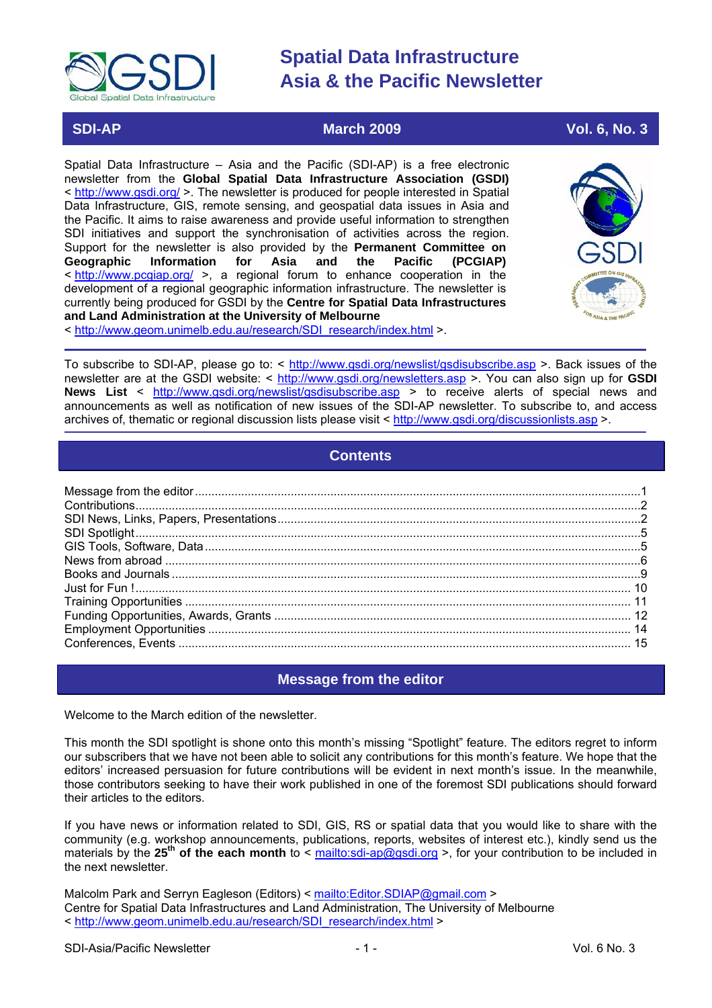<span id="page-0-0"></span>

# **SDI-AP March 2009** March 2009 Vol. 6, No. 3

Spatial Data Infrastructure – Asia and the Pacific (SDI-AP) is a free electronic newsletter from the **Global Spatial Data Infrastructure Association (GSDI)** < <http://www.gsdi.org/> >. The newsletter is produced for people interested in Spatial Data Infrastructure, GIS, remote sensing, and geospatial data issues in Asia and the Pacific. It aims to raise awareness and provide useful information to strengthen SDI initiatives and support the synchronisation of activities across the region. Support for the newsletter is also provided by the **Permanent Committee on Geographic Information for Asia and the Pacific (PCGIAP)** < <http://www.pcgiap.org/>>, a regional forum to enhance cooperation in the development of a regional geographic information infrastructure. The newsletter is currently being produced for GSDI by the **Centre for Spatial Data Infrastructures and Land Administration at the University of Melbourne**



< [http://www.geom.unimelb.edu.au/research/SDI\\_research/index.html](http://www.geom.unimelb.edu.au/research/SDI_research/index.html) >.

To subscribe to SDI-AP, please go to: < <http://www.gsdi.org/newslist/gsdisubscribe.asp>>. Back issues of the newsletter are at the GSDI website: < <http://www.gsdi.org/newsletters.asp> >. You can also sign up for **GSDI News List** < <http://www.gsdi.org/newslist/gsdisubscribe.asp> > to receive alerts of special news and announcements as well as notification of new issues of the SDI-AP newsletter. To subscribe to, and access archives of, thematic or regional discussion lists please visit < <http://www.gsdi.org/discussionlists.asp> >.

# **Contents**

# **Message from the editor**

Welcome to the March edition of the newsletter.

This month the SDI spotlight is shone onto this month's missing "Spotlight" feature. The editors regret to inform our subscribers that we have not been able to solicit any contributions for this month's feature. We hope that the editors' increased persuasion for future contributions will be evident in next month's issue. In the meanwhile, those contributors seeking to have their work published in one of the foremost SDI publications should forward their articles to the editors.

If you have news or information related to SDI, GIS, RS or spatial data that you would like to share with the community (e.g. workshop announcements, publications, reports, websites of interest etc.), kindly send us the materials by the 25<sup>th</sup> of the each month to < <mailto:sdi-ap@gsdi.org>>, for your contribution to be included in the next newsletter.

Malcolm Park and Serryn Eagleson (Editors) < <mailto:Editor.SDIAP@gmail.com>> Centre for Spatial Data Infrastructures and Land Administration, The University of Melbourne < [http://www.geom.unimelb.edu.au/research/SDI\\_research/index.html](http://www.geom.unimelb.edu.au/research/SDI_research/index.html) >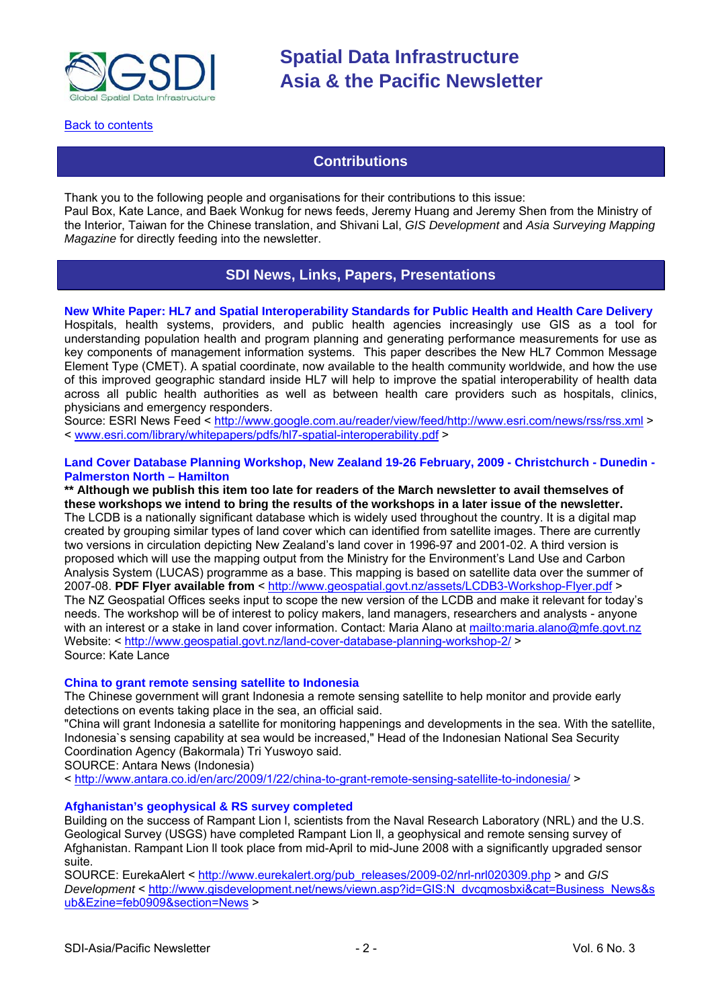<span id="page-1-0"></span>

[Back to contents](#page-0-0)

# **Contributions**

Thank you to the following people and organisations for their contributions to this issue: Paul Box, Kate Lance, and Baek Wonkug for news feeds, Jeremy Huang and Jeremy Shen from the Ministry of the Interior, Taiwan for the Chinese translation, and Shivani Lal, *GIS Development* and *Asia Surveying Mapping Magazine* for directly feeding into the newsletter.

# **SDI News, Links, Papers, Presentations**

# **New White Paper: HL7 and Spatial Interoperability Standards for Public Health and Health Care Delivery**

Hospitals, health systems, providers, and public health agencies increasingly use GIS as a tool for understanding population health and program planning and generating performance measurements for use as key components of management information systems. This paper describes the New HL7 Common Message Element Type (CMET). A spatial coordinate, now available to the health community worldwide, and how the use of this improved geographic standard inside HL7 will help to improve the spatial interoperability of health data across all public health authorities as well as between health care providers such as hospitals, clinics, physicians and emergency responders.

Source: ESRI News Feed < <http://www.google.com.au/reader/view/feed/http://www.esri.com/news/rss/rss.xml>> < [www.esri.com/library/whitepapers/pdfs/hl7-spatial-interoperability.pdf](http://www.esri.com/library/whitepapers/pdfs/hl7-spatial-interoperability.pdf) > **)** 

### **Land Cover Database Planning Workshop, New Zealand 19-26 February, 2009 - Christchurch - Dunedin - Palmerston North – Hamilton**

**\*\* Although we publish this item too late for readers of the March newsletter to avail themselves of these workshops we intend to bring the results of the workshops in a later issue of the newsletter.** The LCDB is a nationally significant database which is widely used throughout the country. It is a digital map created by grouping similar types of land cover which can identified from satellite images. There are currently two versions in circulation depicting New Zealand's land cover in 1996-97 and 2001-02. A third version is proposed which will use the mapping output from the Ministry for the Environment's Land Use and Carbon Analysis System (LUCAS) programme as a base. This mapping is based on satellite data over the summer of 2007-08. **PDF Flyer available from** <<http://www.geospatial.govt.nz/assets/LCDB3-Workshop-Flyer.pdf>> The NZ Geospatial Offices seeks input to scope the new version of the LCDB and make it relevant for today's needs. The workshop will be of interest to policy makers, land managers, researchers and analysts - anyone with an interest or a stake in land cover information. Contact: Maria Alano at<mailto:maria.alano@mfe.govt.nz> Website: <<http://www.geospatial.govt.nz/land-cover-database-planning-workshop-2/> > Source: Kate Lance

### **China to grant remote sensing satellite to Indonesia**

The Chinese government will grant Indonesia a remote sensing satellite to help monitor and provide early detections on events taking place in the sea, an official said.

"China will grant Indonesia a satellite for monitoring happenings and developments in the sea. With the satellite, Indonesia`s sensing capability at sea would be increased," Head of the Indonesian National Sea Security Coordination Agency (Bakormala) Tri Yuswoyo said.

SOURCE: Antara News (Indonesia)

< <http://www.antara.co.id/en/arc/2009/1/22/china-to-grant-remote-sensing-satellite-to-indonesia/>>

### **Afghanistan's geophysical & RS survey completed**

Building on the success of Rampant Lion l, scientists from the Naval Research Laboratory (NRL) and the U.S. Geological Survey (USGS) have completed Rampant Lion ll, a geophysical and remote sensing survey of Afghanistan. Rampant Lion ll took place from mid-April to mid-June 2008 with a significantly upgraded sensor suite.

SOURCE: EurekaAlert < [http://www.eurekalert.org/pub\\_releases/2009-02/nrl-nrl020309.php](http://www.eurekalert.org/pub_releases/2009-02/nrl-nrl020309.php) > and *GIS Development* < [http://www.gisdevelopment.net/news/viewn.asp?id=GIS:N\\_dvcqmosbxi&cat=Business\\_News&s](http://www.gisdevelopment.net/news/viewn.asp?id=GIS:N_dvcqmosbxi&cat=Business_News&sub&Ezine=feb0909§ion=News) [ub&Ezine=feb0909&section=News](http://www.gisdevelopment.net/news/viewn.asp?id=GIS:N_dvcqmosbxi&cat=Business_News&sub&Ezine=feb0909§ion=News) >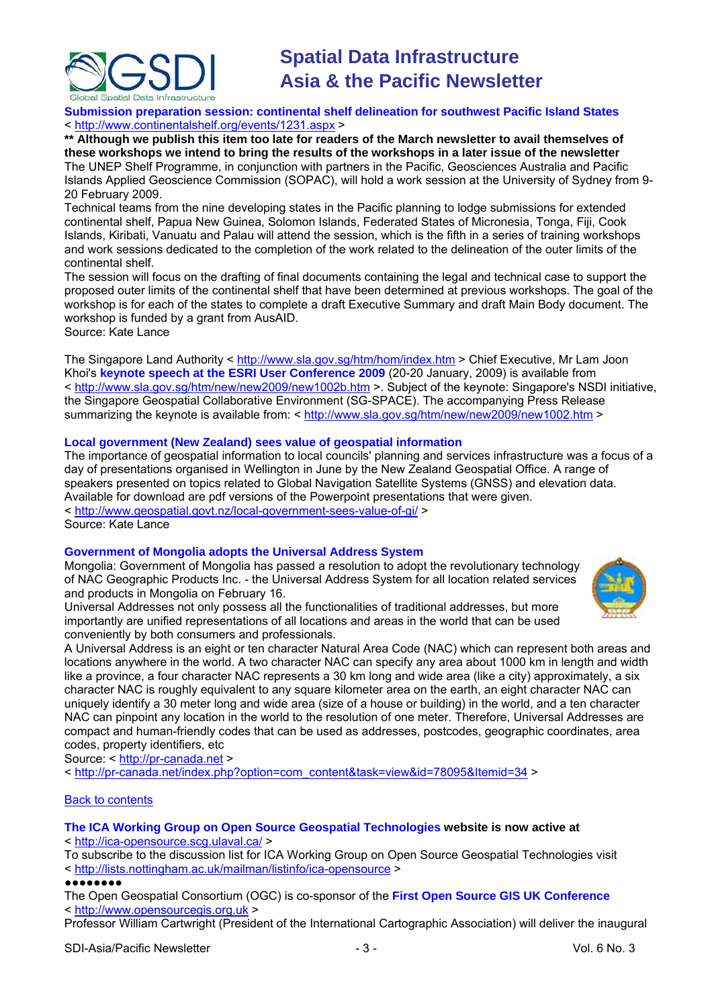

**Submission preparation session: continental shelf delineation for southwest Pacific Island States** < <http://www.continentalshelf.org/events/1231.aspx>>

**\*\* Although we publish this item too late for readers of the March newsletter to avail themselves of these workshops we intend to bring the results of the workshops in a later issue of the newsletter** The UNEP Shelf Programme, in conjunction with partners in the Pacific, Geosciences Australia and Pacific Islands Applied Geoscience Commission (SOPAC), will hold a work session at the University of Sydney from 9- 20 February 2009.

Technical teams from the nine developing states in the Pacific planning to lodge submissions for extended continental shelf, Papua New Guinea, Solomon Islands, Federated States of Micronesia, Tonga, Fiji, Cook Islands, Kiribati, Vanuatu and Palau will attend the session, which is the fifth in a series of training workshops and work sessions dedicated to the completion of the work related to the delineation of the outer limits of the continental shelf.

The session will focus on the drafting of final documents containing the legal and technical case to support the proposed outer limits of the continental shelf that have been determined at previous workshops. The goal of the workshop is for each of the states to complete a draft Executive Summary and draft Main Body document. The workshop is funded by a grant from AusAID.

Source: Kate Lance

The Singapore Land Authority <<http://www.sla.gov.sg/htm/hom/index.htm> > Chief Executive, Mr Lam Joon Khoi's **keynote speech at the ESRI User Conference 2009** (20-20 January, 2009) is available from < <http://www.sla.gov.sg/htm/new/new2009/new1002b.htm> >. Subject of the keynote: Singapore's NSDI initiative, the Singapore Geospatial Collaborative Environment (SG-SPACE). The accompanying Press Release summarizing the keynote is available from: <<http://www.sla.gov.sg/htm/new/new2009/new1002.htm>>

## **Local government (New Zealand) sees value of geospatial information**

The importance of geospatial information to local councils' planning and services infrastructure was a focus of a day of presentations organised in Wellington in June by the New Zealand Geospatial Office. A range of speakers presented on topics related to Global Navigation Satellite Systems (GNSS) and elevation data. Available for download are pdf versions of the Powerpoint presentations that were given. < <http://www.geospatial.govt.nz/local-government-sees-value-of-gi/> > Source: Kate Lance

# **Government of Mongolia adopts the Universal Address System**

Mongolia: Government of Mongolia has passed a resolution to adopt the revolutionary technology of NAC Geographic Products Inc. - the Universal Address System for all location related services and products in Mongolia on February 16.

Universal Addresses not only possess all the functionalities of traditional addresses, but more importantly are unified representations of all locations and areas in the world that can be used conveniently by both consumers and professionals.



A Universal Address is an eight or ten character Natural Area Code (NAC) which can represent both areas and locations anywhere in the world. A two character NAC can specify any area about 1000 km in length and width like a province, a four character NAC represents a 30 km long and wide area (like a city) approximately, a six character NAC is roughly equivalent to any square kilometer area on the earth, an eight character NAC can uniquely identify a 30 meter long and wide area (size of a house or building) in the world, and a ten character NAC can pinpoint any location in the world to the resolution of one meter. Therefore, Universal Addresses are compact and human-friendly codes that can be used as addresses, postcodes, geographic coordinates, area codes, property identifiers, etc

Source: < [http://pr-canada.net](http://pr-canada.net/) >

< [http://pr-canada.net/index.php?option=com\\_content&task=view&id=78095&Itemid=34](http://pr-canada.net/index.php?option=com_content&task=view&id=78095&Itemid=34) >

# Back to [contents](#page-0-0)

### **The ICA Working Group on Open Source Geospatial Technologies website is now active at** < <http://ica-opensource.scg.ulaval.ca/> >

To subscribe to the discussion list for ICA Working Group on Open Source Geospatial Technologies visit

< <http://lists.nottingham.ac.uk/mailman/listinfo/ica-opensource>>

### ●●●●●●●●

The Open Geospatial Consortium (OGC) is co-sponsor of the **First Open Source GIS UK Conference** < [http://www.opensourcegis.org.uk](http://www.opensourcegis.org.uk/) >

Professor William Cartwright (President of the International Cartographic Association) will deliver the inaugural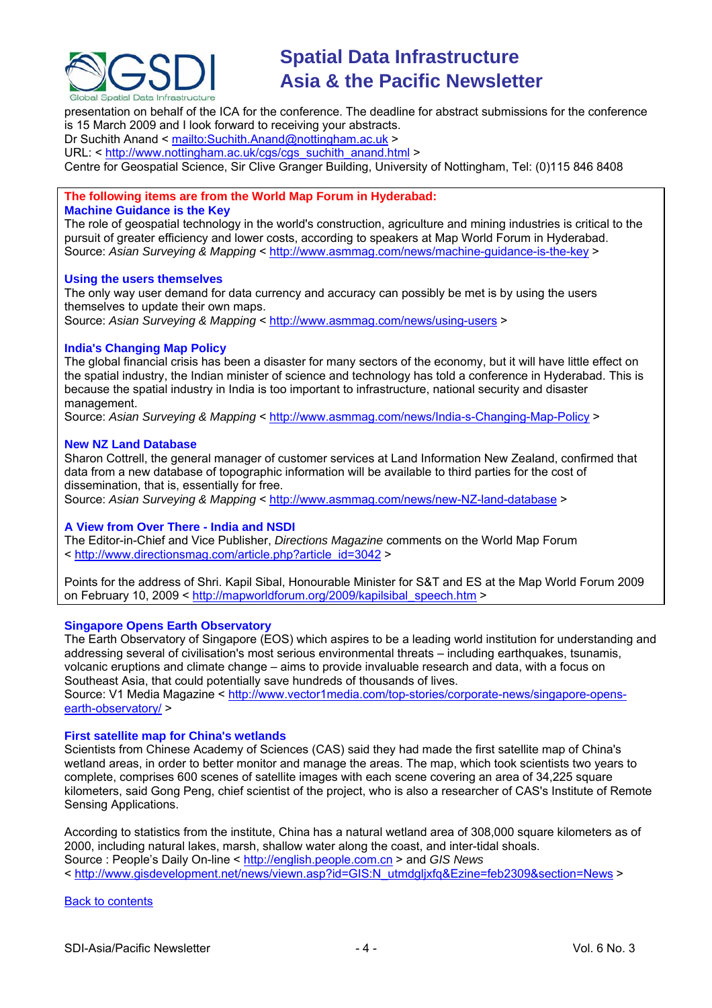

presentation on behalf of the ICA for the conference. The deadline for abstract submissions for the conference is 15 March 2009 and I look forward to receiving your abstracts.

Dr Suchith Anand < <mailto:Suchith.Anand@nottingham.ac.uk> >

URL: < [http://www.nottingham.ac.uk/cgs/cgs\\_suchith\\_anand.html](http://www.nottingham.ac.uk/cgs/cgs_suchith_anand.html) >

Centre for Geospatial Science, Sir Clive Granger Building, University of Nottingham, Tel: (0)115 846 8408

# **The following items are from the World Map Forum in Hyderabad:**

### **Machine Guidance is the Key**

The role of geospatial technology in the world's construction, agriculture and mining industries is critical to the pursuit of greater efficiency and lower costs, according to speakers at Map World Forum in Hyderabad. Source: Asian Surveying & Mapping < <http://www.asmmag.com/news/machine-guidance-is-the-key> >

## **Using the users themselves**

The only way user demand for data currency and accuracy can possibly be met is by using the users themselves to update their own maps. Source: Asian Surveying & Mapping < <http://www.asmmag.com/news/using-users> >

# **India's Changing Map Policy**

The global financial crisis has been a disaster for many sectors of the economy, but it will have little effect on the spatial industry, the Indian minister of science and technology has told a conference in Hyderabad. This is because the spatial industry in India is too important to infrastructure, national security and disaster management.

Source: *Asian Surveying & Mapping* < <http://www.asmmag.com/news/India-s-Changing-Map-Policy> >

## **New NZ Land Database**

Sharon Cottrell, the general manager of customer services at Land Information New Zealand, confirmed that data from a new database of topographic information will be available to third parties for the cost of dissemination, that is, essentially for free.

Source: *Asian Surveying & Mapping* < <http://www.asmmag.com/news/new-NZ-land-database> >

# **A View from Over There - India and NSDI**

The Editor-in-Chief and Vice Publisher, *Directions Magazine* comments on the World Map Forum < [http://www.directionsmag.com/article.php?article\\_id=3042](http://www.directionsmag.com/article.php?article_id=3042) >

Points for the address of Shri. Kapil Sibal, Honourable Minister for S&T and ES at the Map World Forum 2009 on February 10, 2009 < [http://mapworldforum.org/2009/kapilsibal\\_speech.htm](http://mapworldforum.org/2009/kapilsibal_speech.htm) >

### **Singapore Opens Earth Observatory**

The Earth Observatory of Singapore (EOS) which aspires to be a leading world institution for understanding and addressing several of civilisation's most serious environmental threats – including earthquakes, tsunamis, volcanic eruptions and climate change – aims to provide invaluable research and data, with a focus on Southeast Asia, that could potentially save hundreds of thousands of lives.

Source: V1 Media Magazine < [http://www.vector1media.com/top-stories/corporate-news/singapore-opens](http://www.vector1media.com/top-stories/corporate-news/singapore-opens-earth-observatory/)[earth-observatory/](http://www.vector1media.com/top-stories/corporate-news/singapore-opens-earth-observatory/) >

### **First satellite map for China's wetlands**

Scientists from Chinese Academy of Sciences (CAS) said they had made the first satellite map of China's wetland areas, in order to better monitor and manage the areas. The map, which took scientists two years to complete, comprises 600 scenes of satellite images with each scene covering an area of 34,225 square kilometers, said Gong Peng, chief scientist of the project, who is also a researcher of CAS's Institute of Remote Sensing Applications.

According to statistics from the institute, China has a natural wetland area of 308,000 square kilometers as of 2000, including natural lakes, marsh, shallow water along the coast, and inter-tidal shoals. Source : People's Daily On-line < [http://english.people.com.cn](http://english.people.com.cn/90001/90776/90881/6596132.html) > and *GIS News* < http://www.gisdevelopment.net/news/viewn.asp?id=GIS:N\_utmdglixfq&Ezine=feb2309&section=News >

[Back to contents](#page-0-0)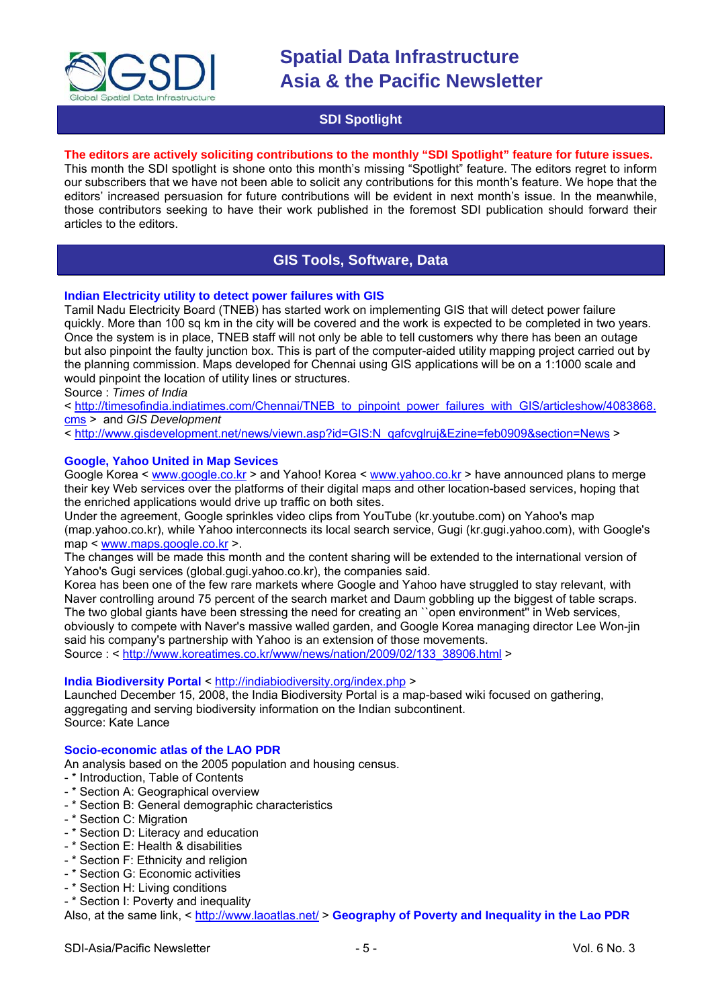<span id="page-4-0"></span>

# **SDI Spotlight**

# **The editors are actively soliciting contributions to the monthly "SDI Spotlight" feature for future issues.**

This month the SDI spotlight is shone onto this month's missing "Spotlight" feature. The editors regret to inform our subscribers that we have not been able to solicit any contributions for this month's feature. We hope that the editors' increased persuasion for future contributions will be evident in next month's issue. In the meanwhile, those contributors seeking to have their work published in the foremost SDI publication should forward their articles to the editors.

# **GIS Tools, Software, Data**

## **Indian Electricity utility to detect power failures with GIS**

Tamil Nadu Electricity Board (TNEB) has started work on implementing GIS that will detect power failure quickly. More than 100 sq km in the city will be covered and the work is expected to be completed in two years. Once the system is in place, TNEB staff will not only be able to tell customers why there has been an outage but also pinpoint the faulty junction box. This is part of the computer-aided utility mapping project carried out by the planning commission. Maps developed for Chennai using GIS applications will be on a 1:1000 scale and would pinpoint the location of utility lines or structures.

Source : *Times of India*

< [http://timesofindia.indiatimes.com/Chennai/TNEB\\_to\\_pinpoint\\_power\\_failures\\_with\\_GIS/articleshow/4083868.](http://timesofindia.indiatimes.com/Chennai/TNEB_to_pinpoint_power_failures_with_GIS/articleshow/4083868.cms) [cms](http://timesofindia.indiatimes.com/Chennai/TNEB_to_pinpoint_power_failures_with_GIS/articleshow/4083868.cms) > and *GIS Development*

< [http://www.gisdevelopment.net/news/viewn.asp?id=GIS:N\\_qafcvglruj&Ezine=feb0909&section=News](http://www.gisdevelopment.net/news/viewn.asp?id=GIS:N_qafcvglruj&Ezine=feb0909§ion=News) >

### **Google, Yahoo United in Map Sevices**

Google Korea < [www.google.co.kr](http://www.google.co.kr/) > and Yahoo! Korea < [www.yahoo.co.kr](http://www.yahoo.co.kr/) > have announced plans to merge their key Web services over the platforms of their digital maps and other location-based services, hoping that the enriched applications would drive up traffic on both sites.

Under the agreement, Google sprinkles video clips from YouTube (kr.youtube.com) on Yahoo's map (map.yahoo.co.kr), while Yahoo interconnects its local search service, Gugi (kr.gugi.yahoo.com), with Google's map < [www.maps.google.co.kr](http://www.maps.google.co.kr/) >.

The changes will be made this month and the content sharing will be extended to the international version of Yahoo's Gugi services (global.gugi.yahoo.co.kr), the companies said.

Korea has been one of the few rare markets where Google and Yahoo have struggled to stay relevant, with Naver controlling around 75 percent of the search market and Daum gobbling up the biggest of table scraps. The two global giants have been stressing the need for creating an ``open environment'' in Web services, obviously to compete with Naver's massive walled garden, and Google Korea managing director Lee Won-jin said his company's partnership with Yahoo is an extension of those movements. Source : < [http://www.koreatimes.co.kr/www/news/nation/2009/02/133\\_38906.html](http://www.koreatimes.co.kr/www/news/nation/2009/02/133_38906.html) >

### **India Biodiversity Portal** < <http://indiabiodiversity.org/index.php> >

Launched December 15, 2008, the India Biodiversity Portal is a map-based wiki focused on gathering, aggregating and serving biodiversity information on the Indian subcontinent. Source: Kate Lance

### **Socio-economic atlas of the LAO PDR**

An analysis based on the 2005 population and housing census.

- \* Introduction, Table of Contents
- \* Section A: Geographical overview
- \* Section B: General demographic characteristics
- \* Section C: Migration
- \* Section D: Literacy and education
- \* Section E: Health & disabilities
- \* Section F: Ethnicity and religion
- \* Section G: Economic activities
- \* Section H: Living conditions

- \* Section I: Poverty and inequality Also, at the same link, <<http://www.laoatlas.net/> > Geography of Poverty and Inequality in the Lao PDR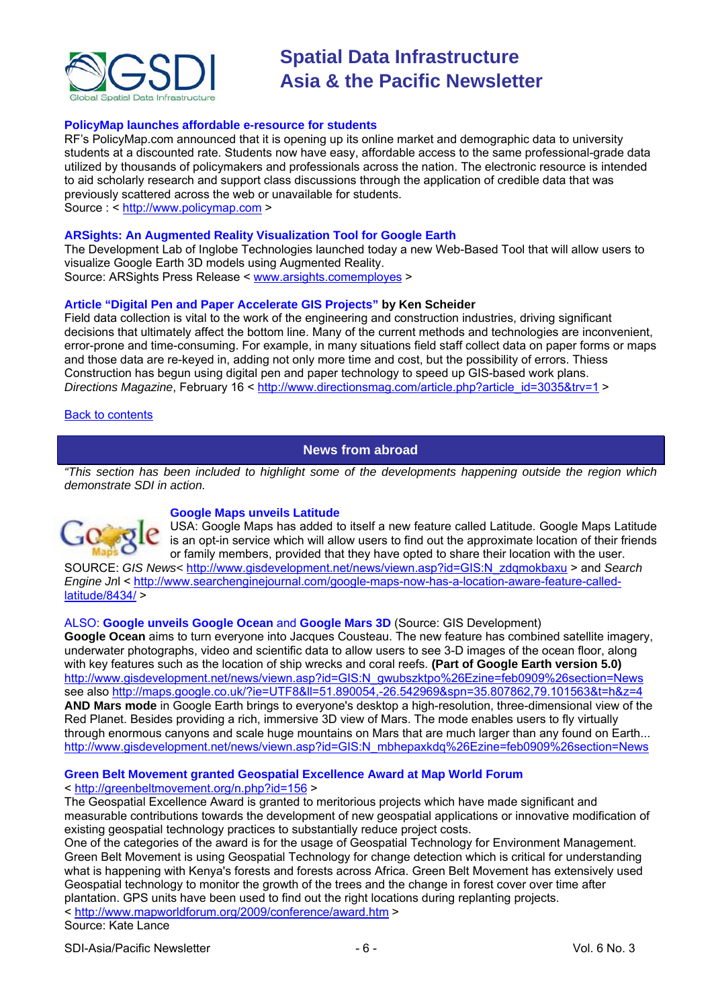<span id="page-5-0"></span>

### **PolicyMap launches affordable e-resource for students**

RF's PolicyMap.com announced that it is opening up its online market and demographic data to university students at a discounted rate. Students now have easy, affordable access to the same professional-grade data utilized by thousands of policymakers and professionals across the nation. The electronic resource is intended to aid scholarly research and support class discussions through the application of credible data that was previously scattered across the web or unavailable for students. Source : < [http://www.policymap.com](http://www.policymap.com/) >

# **ARSights: An Augmented Reality Visualization Tool for Google Earth**

The Development Lab of Inglobe Technologies launched today a new Web-Based Tool that will allow users to visualize Google Earth 3D models using Augmented Reality. Source: ARSights Press Release < [www.arsights.comemployes](http://www.arsights.comemployes/) >

## **Article "Digital Pen and Paper Accelerate GIS Projects" by Ken Scheider**

Field data collection is vital to the work of the engineering and construction industries, driving significant decisions that ultimately affect the bottom line. Many of the current methods and technologies are inconvenient, error-prone and time-consuming. For example, in many situations field staff collect data on paper forms or maps and those data are re-keyed in, adding not only more time and cost, but the possibility of errors. Thiess Construction has begun using digital pen and paper technology to speed up GIS-based work plans. *Directions Magazine*, February 16 < [http://www.directionsmag.com/article.php?article\\_id=3035&trv=1](http://www.directionsmag.com/article.php?article_id=3035&trv=1) >

## Back to [contents](#page-0-0)

# **News from abroad**

*"This section has been included to highlight some of the developments happening outside the region which demonstrate SDI in action.*



### **Google Maps unveils Latitude**

USA: Google Maps has added to itself a new feature called Latitude. Google Maps Latitude is an opt-in service which will allow users to find out the approximate location of their friends or family members, provided that they have opted to share their location with the user.

SOURCE: *GIS News<* [http://www.gisdevelopment.net/news/viewn.asp?id=GIS:N\\_zdqmokbaxu](http://www.gisdevelopment.net/news/viewn.asp?id=GIS:N_zdqmokbaxu) > and *Search Engine Jn*l < [http://www.searchenginejournal.com/google-maps-now-has-a-location-aware-feature-called](http://www.searchenginejournal.com/google-maps-now-has-a-location-aware-feature-called-latitude/8434/) $l$ latitude/8434/ $>$ 

# ALSO: **Google unveils [Google Ocean](http://www.gisdevelopment.net/news/viewn.asp?id=GIS:N_gwubszktpo%26Ezine=feb0909%26section=News)** and **[Google Mars 3D](http://www.gisdevelopment.net/news/viewn.asp?id=GIS:N_mbhepaxkdq%26Ezine=feb0909%26section=News)** (Source: GIS Development)

**Google Ocean** aims to turn everyone into Jacques Cousteau. The new feature has combined satellite imagery, underwater photographs, video and scientific data to allow users to see 3-D images of the ocean floor, along with key features such as the location of ship wrecks and coral reefs. **(Part of Google Earth version 5.0)** [http://www.gisdevelopment.net/news/viewn.asp?id=GIS:N\\_gwubszktpo%26Ezine=feb0909%26section=News](http://www.gisdevelopment.net/news/viewn.asp?id=GIS:N_gwubszktpo%26Ezine=feb0909%26section=News) see also <http://maps.google.co.uk/?ie=UTF8&ll=51.890054,-26.542969&spn=35.807862,79.101563&t=h&z=4> **AND Mars mode** in Google Earth brings to everyone's desktop a high-resolution, three-dimensional view of the Red Planet. Besides providing a rich, immersive 3D view of Mars. The mode enables users to fly virtually through enormous canyons and scale huge mountains on Mars that are much larger than any found on Earth... [http://www.gisdevelopment.net/news/viewn.asp?id=GIS:N\\_mbhepaxkdq%26Ezine=feb0909%26section=News](http://www.gisdevelopment.net/news/viewn.asp?id=GIS:N_mbhepaxkdq%26Ezine=feb0909%26section=News)

# **Green Belt Movement granted Geospatial Excellence Award at Map World Forum**

# < <http://greenbeltmovement.org/n.php?id=156>>

The Geospatial Excellence Award is granted to meritorious projects which have made significant and measurable contributions towards the development of new geospatial applications or innovative modification of existing geospatial technology practices to substantially reduce project costs.

One of the categories of the award is for the usage of Geospatial Technology for Environment Management. Green Belt Movement is using Geospatial Technology for change detection which is critical for understanding what is happening with Kenya's forests and forests across Africa. Green Belt Movement has extensively used Geospatial technology to monitor the growth of the trees and the change in forest cover over time after plantation. GPS units have been used to find out the right locations during replanting projects. < <http://www.mapworldforum.org/2009/conference/award.htm>>

Source: Kate Lance

SDI-Asia/Pacific Newsletter  $\overline{6}$  - 6 -  $\overline{8}$  -  $\overline{9}$  -  $\overline{9}$  -  $\overline{9}$  -  $\overline{9}$  -  $\overline{9}$  -  $\overline{9}$  -  $\overline{9}$  -  $\overline{9}$  -  $\overline{9}$  -  $\overline{9}$  -  $\overline{9}$  -  $\overline{9}$  -  $\overline{9}$  -  $\overline{9}$  -  $\overline{9}$  -  $\over$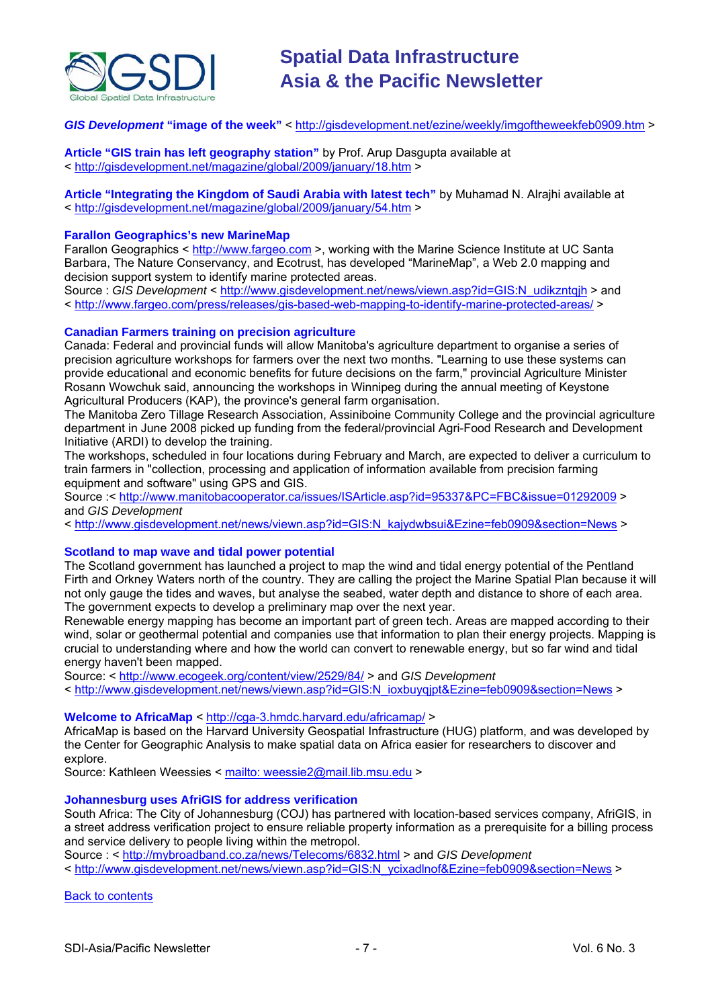

# *GIS Development* **"image of the week"** <<http://gisdevelopment.net/ezine/weekly/imgoftheweekfeb0909.htm>>

### **Article "GIS train has left geography station"** by Prof. Arup Dasgupta available at < <http://gisdevelopment.net/magazine/global/2009/january/18.htm>>

**Article "Integrating the Kingdom of Saudi Arabia with latest tech"** by Muhamad N. Alrajhi available at < <http://gisdevelopment.net/magazine/global/2009/january/54.htm>>

### **Farallon Geographics's new MarineMap**

Farallon Geographics < [http://www.fargeo.com](http://www.fargeo.com/) >, working with the Marine Science Institute at UC Santa Barbara, The Nature Conservancy, and Ecotrust, has developed "MarineMap", a Web 2.0 mapping and decision support system to identify marine protected areas.

Source : *GIS Development* < [http://www.gisdevelopment.net/news/viewn.asp?id=GIS:N\\_udikzntqjh](http://www.gisdevelopment.net/news/viewn.asp?id=GIS:N_udikzntqjh) > and < <http://www.fargeo.com/press/releases/gis-based-web-mapping-to-identify-marine-protected-areas/>>

#### **Canadian Farmers training on precision agriculture**

Canada: Federal and provincial funds will allow Manitoba's agriculture department to organise a series of precision agriculture workshops for farmers over the next two months. "Learning to use these systems can provide educational and economic benefits for future decisions on the farm," provincial Agriculture Minister Rosann Wowchuk said, announcing the workshops in Winnipeg during the annual meeting of Keystone Agricultural Producers (KAP), the province's general farm organisation.

The Manitoba Zero Tillage Research Association, Assiniboine Community College and the provincial agriculture department in June 2008 picked up funding from the federal/provincial Agri-Food Research and Development Initiative (ARDI) to develop the training.

The workshops, scheduled in four locations during February and March, are expected to deliver a curriculum to train farmers in "collection, processing and application of information available from precision farming equipment and software" using GPS and GIS.

Source :< <http://www.manitobacooperator.ca/issues/ISArticle.asp?id=95337&PC=FBC&issue=01292009> > and *GIS Development*

< [http://www.gisdevelopment.net/news/viewn.asp?id=GIS:N\\_kajydwbsui&Ezine=feb0909&section=News](http://www.gisdevelopment.net/news/viewn.asp?id=GIS:N_kajydwbsui&Ezine=feb0909§ion=News) >

### **Scotland to map wave and tidal power potential**

The Scotland government has launched a project to map the wind and tidal energy potential of the Pentland Firth and Orkney Waters north of the country. They are calling the project the Marine Spatial Plan because it will not only gauge the tides and waves, but analyse the seabed, water depth and distance to shore of each area. The government expects to develop a preliminary map over the next year.

Renewable energy mapping has become an important part of green tech. Areas are mapped according to their wind, solar or geothermal potential and companies use that information to plan their energy projects. Mapping is crucial to understanding where and how the world can convert to renewable energy, but so far wind and tidal energy haven't been mapped.

Source: < <http://www.ecogeek.org/content/view/2529/84/> > and *GIS Development*

< http://www.gisdevelopment.net/news/viewn.asp?id=GIS:N\_ioxbuygipt&Ezine=feb0909&section=News >

## **Welcome to AfricaMap** < <http://cga-3.hmdc.harvard.edu/africamap/> >

AfricaMap is based on the Harvard University Geospatial Infrastructure (HUG) platform, and was developed by the Center for Geographic Analysis to make spatial data on Africa easier for researchers to discover and explore.

Source: Kathleen Weessies < [mailto: weessie2@mail.lib.msu.edu](mailto:weessie2@mail.lib.msu.edu) >

### **Johannesburg uses AfriGIS for address verification**

South Africa: The City of Johannesburg (COJ) has partnered with location-based services company, AfriGIS, in a street address verification project to ensure reliable property information as a prerequisite for a billing process and service delivery to people living within the metropol.

Source : < <http://mybroadband.co.za/news/Telecoms/6832.html> > and *GIS Development*

< [http://www.gisdevelopment.net/news/viewn.asp?id=GIS:N\\_ycixadlnof&Ezine=feb0909&section=News](http://www.gisdevelopment.net/news/viewn.asp?id=GIS:N_ycixadlnof&Ezine=feb0909§ion=News) >

[Back to contents](#page-0-0)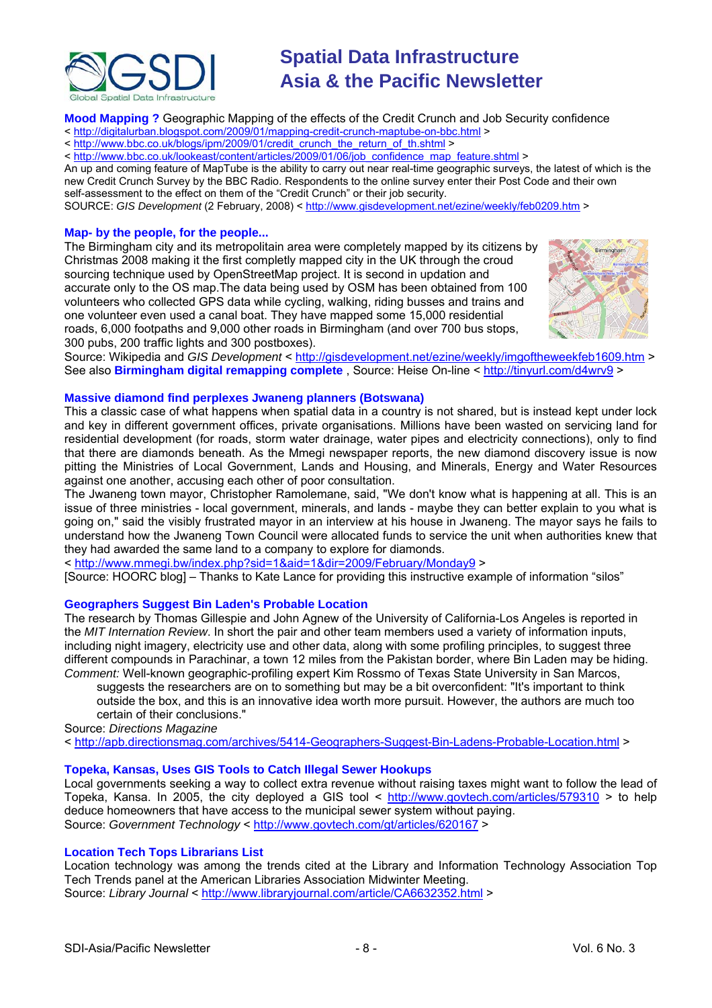

**Mood Mapping ?** Geographic Mapping of the effects of the Credit Crunch and Job Security confidence

< <http://digitalurban.blogspot.com/2009/01/mapping-credit-crunch-maptube-on-bbc.html>>

< [http://www.bbc.co.uk/blogs/ipm/2009/01/credit\\_crunch\\_the\\_return\\_of\\_th.shtml](http://www.bbc.co.uk/blogs/ipm/2009/01/credit_crunch_the_return_of_th.shtml) >

< [http://www.bbc.co.uk/lookeast/content/articles/2009/01/06/job\\_confidence\\_map\\_feature.shtml](http://www.bbc.co.uk/lookeast/content/articles/2009/01/06/job_confidence_map_feature.shtml) >

An up and coming feature of MapTube is the ability to carry out near real-time geographic surveys, the latest of which is the new Credit Crunch Survey by the BBC Radio. Respondents to the online survey enter their Post Code and their own self-assessment to the effect on them of the "Credit Crunch" or their job security.

SOURCE: *GIS Development* (2 February, 2008) < <http://www.gisdevelopment.net/ezine/weekly/feb0209.htm>>

#### **Map- by the people, for the people...**

The Birmingham city and its metropolitain area were completely mapped by its citizens b y Christmas 2008 making it the first completly mapped city in the UK through the croud sourcing technique used by OpenStreetMap project. It is second in updation and accurate only to the OS map.The data being used by OSM has been obtained from 100 volunteers who collected GPS data while cycling, walking, riding busses and trains and one volunteer even used a canal boat. They have mapped some 15,000 residential roads, 6,000 footpaths and 9,000 other roads in Birmingham (and over 700 bus stops, 300 pubs, 200 traffic lights and 300 postboxes).



Source: Wikipedia and *GIS Development* < <http://gisdevelopment.net/ezine/weekly/imgoftheweekfeb1609.htm>> See also **Birmingham digital remapping complete** , Source: Heise On-line <<http://tinyurl.com/d4wrv9>>

#### **Massive diamond find perplexes Jwaneng planners (Botswana)**

This a classic case of what happens when spatial data in a country is not shared, but is instead kept under lock and key in different government offices, private organisations. Millions have been wasted on servicing land for residential development (for roads, storm water drainage, water pipes and electricity connections), only to find that there are diamonds beneath. As the Mmegi newspaper reports, the new diamond discovery issue is now pitting the Ministries of Local Government, Lands and Housing, and Minerals, Energy and Water Resources against one another, accusing each other of poor consultation.

The Jwaneng town mayor, Christopher Ramolemane, said, "We don't know what is happening at all. This is an issue of three ministries - local government, minerals, and lands - maybe they can better explain to you what is going on," said the visibly frustrated mayor in an interview at his house in Jwaneng. The mayor says he fails to understand how the Jwaneng Town Council were allocated funds to service the unit when authorities knew that they had awarded the same land to a company to explore for diamonds.

< <http://www.mmegi.bw/index.php?sid=1&aid=1&dir=2009/February/Monday9> >

[Source: HOORC blog] – Thanks to Kate Lance for providing this instructive example of information "silos"

### **Geographers Suggest Bin Laden's Probable Location**

The research by Thomas Gillespie and John Agnew of the University of California-Los Angeles is reported in the *[MIT Internation Review](http://web.mit.edu/mitir/)*. In short the pair and other team members used a variety of information inputs, including night imagery, electricity use and other data, along with some profiling principles, to suggest three different compounds in Parachinar, a town 12 miles from the Pakistan border, where Bin Laden may be hiding. *Comment:* Well-known geographic-profiling expert Kim Rossmo of Texas State University in San Marcos,

suggests the researchers are on to something but may be a bit overconfident: "It's important to think outside the box, and this is an innovative idea worth more pursuit. However, the authors are much too certain of their conclusions."

Source: *Directions Magazine*

< <http://apb.directionsmag.com/archives/5414-Geographers-Suggest-Bin-Ladens-Probable-Location.html>>

### **Topeka, Kansas, Uses GIS Tools to Catch Illegal Sewer Hookups**

Local governments seeking a way to collect extra revenue without raising taxes might want to follow the lead of Topeka, Kansa. In 2005, the city deployed a GIS tool < <http://www.govtech.com/articles/579310>> to help deduce homeowners that have access to the municipal sewer system without paying. Source: *Government Technology* <<http://www.govtech.com/gt/articles/620167>>

### **Location Tech Tops Librarians List**

Location technology was among the trends cited at the Library and Information Technology Association Top Tech Trends panel at the American Libraries Association Midwinter Meeting. Source: *Library Journal* < <http://www.libraryjournal.com/article/CA6632352.html>>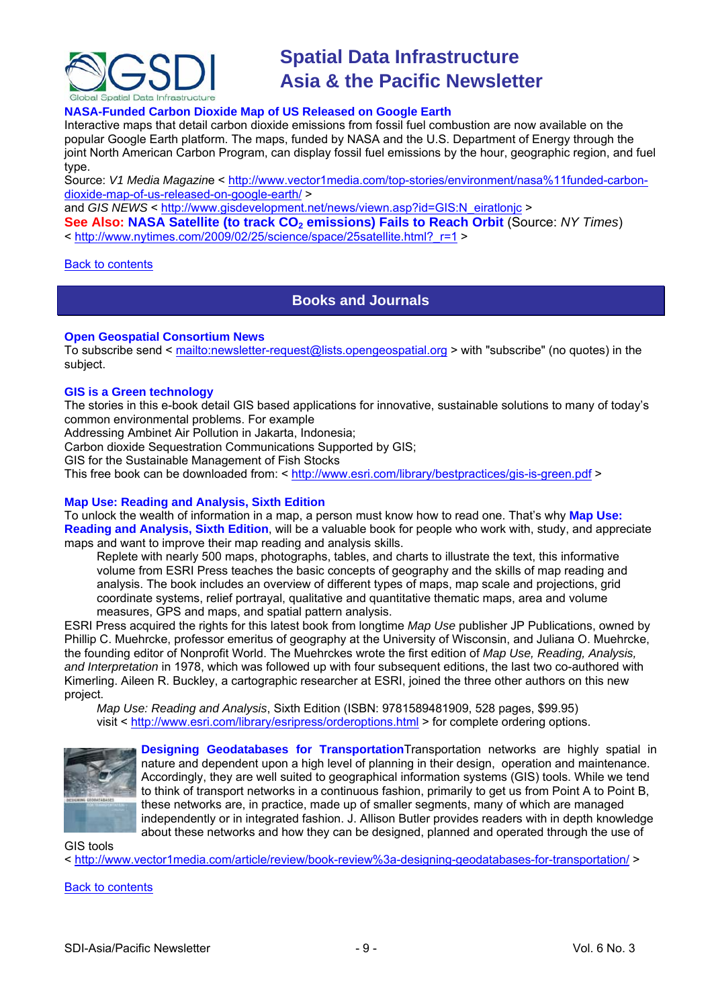<span id="page-8-0"></span>

# **NASA-Funded Carbon Dioxide Map of US Released on Google Earth**

Interactive maps that detail carbon dioxide emissions from fossil fuel combustion are now available on the popular Google Earth platform. The maps, funded by NASA and the U.S. Department of Energy through the joint North American Carbon Program, can display fossil fuel emissions by the hour, geographic region, and fuel type.

Source: *V1 Media Magazin*e < [http://www.vector1media.com/top-stories/environment/nasa%11funded-carbon](http://www.vector1media.com/top-stories/environment/nasa%11funded-carbon-dioxide-map-of-us-released-on-google-earth/)[dioxide-map-of-us-released-on-google-earth/](http://www.vector1media.com/top-stories/environment/nasa%11funded-carbon-dioxide-map-of-us-released-on-google-earth/) >

and *GIS NEWS* < http://www.gisdevelopment.net/news/viewn.asp?id=GIS:N\_eiratlonic >

**See Also: NASA Satellite (to track CO<sub>2</sub> emissions) Fails to Reach Orbit** (Source: *NY Times*) < [http://www.nytimes.com/2009/02/25/science/space/25satellite.html?\\_r=1](http://www.nytimes.com/2009/02/25/science/space/25satellite.html?_r=1) >

## Back to [contents](#page-0-0)

# **Books and Journals**

## **Open Geospatial Consortium News**

To subscribe send <<mailto:newsletter-request@lists.opengeospatial.org>> with "subscribe" (no quotes) in the subject.

## **GIS is a Green technology**

The stories in this e-book detail GIS based applications for innovative, sustainable solutions to many of today's common environmental problems. For example

Addressing Ambinet Air Pollution in Jakarta, Indonesia;

Carbon dioxide Sequestration Communications Supported by GIS;

GIS for the Sustainable Management of Fish Stocks

This free book can be downloaded from: < <http://www.esri.com/library/bestpractices/gis-is-green.pdf> >

## **Map Use: Reading and Analysis, Sixth Edition**

To unlock the wealth of information in a map, a person must know how to read one. That's why **Map Use: Reading and Analysis, Sixth Edition**, will be a valuable book for people who work with, study, and appreciate maps and want to improve their map reading and analysis skills.

Replete with nearly 500 maps, photographs, tables, and charts to illustrate the text, this informative volume from ESRI Press teaches the basic concepts of geography and the skills of map reading and analysis. The book includes an overview of different types of maps, map scale and projections, grid coordinate systems, relief portrayal, qualitative and quantitative thematic maps, area and volume measures, GPS and maps, and spatial pattern analysis.

ESRI Press acquired the rights for this latest book from longtime *Map Use* publisher JP Publications, owned by Phillip C. Muehrcke, professor emeritus of geography at the University of Wisconsin, and Juliana O. Muehrcke, the founding editor of Nonprofit World. The Muehrckes wrote the first edition of *Map Use, Reading, Analysis, and Interpretation* in 1978, which was followed up with four subsequent editions, the last two co-authored with Kimerling. Aileen R. Buckley, a cartographic researcher at ESRI, joined the three other authors on this new project.

*Map Use: Reading and Analysis*, Sixth Edition (ISBN: 9781589481909, 528 pages, \$99.95) visit < <http://www.esri.com/library/esripress/orderoptions.html> > for complete ordering options.



**Designing Geodatabases for Transportation**Transportation networks are highly spatial in nature and dependent upon a high level of planning in their design, operation and maintenance. Accordingly, they are well suited to geographical information systems (GIS) tools. While we tend to think of transport networks in a continuous fashion, primarily to get us from Point A to Point B, these networks are, in practice, made up of smaller segments, many of which are managed independently or in integrated fashion. J. Allison Butler provides readers with in depth knowledge about these networks and how they can be designed, planned and operated through the use of

GIS tools

< <http://www.vector1media.com/article/review/book-review%3a-designing-geodatabases-for-transportation/> >

Back to [contents](#page-0-0)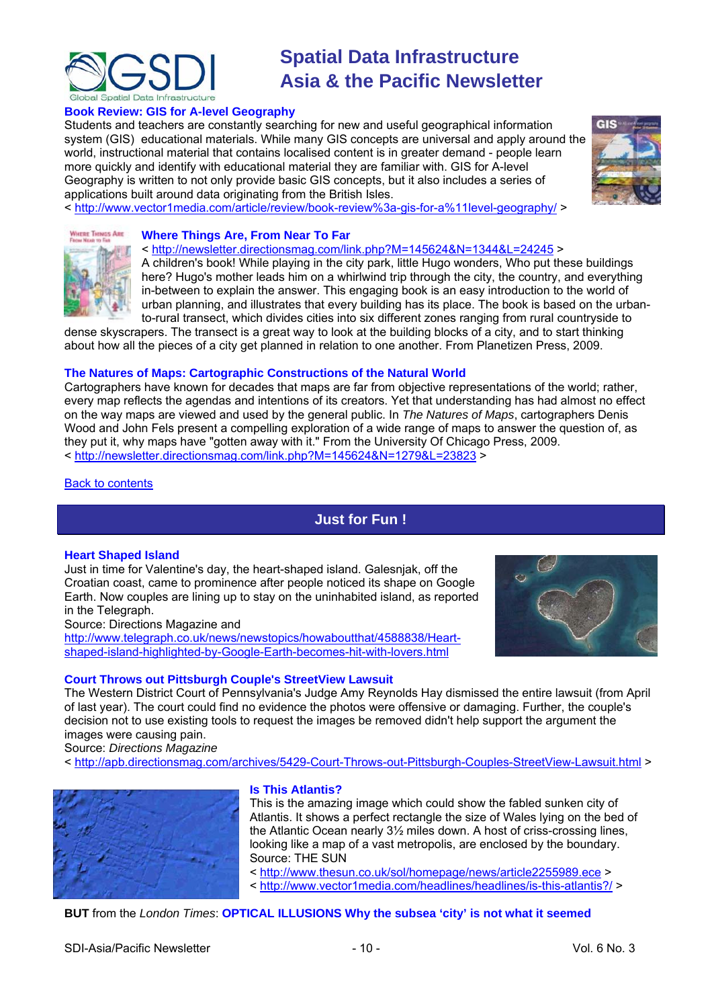<span id="page-9-0"></span>

# **Book Review: GIS for A-level Geography**

Students and teachers are constantly searching for new and useful geographical information system (GIS) educational materials. While many GIS concepts are universal and apply around t he world, instructional material that contains localised content is in greater demand - people learn more quickly and identify with educational material they are familiar with. GIS for A-level Geography is written to not only provide basic GIS concepts, but it also includes a series of applications built around data originating from the British Isles.

< <http://www.vector1media.com/article/review/book-review%3a-gis-for-a%11level-geography/> >





# **Where Things Are, From Near To Far**

<<http://newsletter.directionsmag.com/link.php?M=145624&N=1344&L=24245>> A children's book! While playing in the city park, little Hugo wonders, Who put these buildings here? Hugo's mother leads him on a whirlwind trip through the city, the country, and everything in-between to explain the answer. This engaging book is an easy introduction to the world of urban planning, and illustrates that every building has its place. The book is based on the urbanto-rural transect, which divides cities into six different zones ranging from rural countryside to

[dense skyscra](http://newsletter.directionsmag.com/link.php?M=145624&N=1344&L=24245)pers. The transect is a great way to look at the building blocks of a city, and to start thinking about how all the pieces of a city get planned in relation to one another. From Planetizen Press, 2009.

# **The Natures of Maps: Cartographic Constructions of the Natural World**

Cartographers have known for decades that maps are far from objective representations of the world; rather, every map reflects the agendas and intentions of its creators. Yet that understanding has had almost no effect on the way maps are viewed and used by the general public. In *The Natures of Maps*, cartographers Denis Wood and John Fels present a compelling exploration of a wide range of maps to answer the question of, as they put it, why maps have "gotten away with it." From the University Of Chicago Press, 2009. < <http://newsletter.directionsmag.com/link.php?M=145624&N=1279&L=23823> >

### Back to [contents](#page-0-0)

# **Just for Fun !**

### **[Heart Shaped Island](http://www.telegraph.co.uk/news/newstopics/howaboutthat/4588838/Heart-shaped-island-highlighted-by-Google-Earth-becomes-hit-with-lovers.html)**

Just in time for Valentine's day, the heart-shaped island. Galesnjak, off the Croatian coast, came to prominence after people noticed its shape on Google Earth. Now couples are lining up to stay on the uninhabited island, as reported in the Telegraph.

Source: Directions Magazine and

[http://www.telegraph.co.uk/news/newstopics/howaboutthat/4588838/Heart](http://www.telegraph.co.uk/news/newstopics/howaboutthat/4588838/Heart-shaped-island-highlighted-by-Google-Earth-becomes-hit-with-lovers.html)[shaped-island-highlighted-by-Google-Earth-becomes-hit-with-lovers.html](http://www.telegraph.co.uk/news/newstopics/howaboutthat/4588838/Heart-shaped-island-highlighted-by-Google-Earth-becomes-hit-with-lovers.html)

# **Court Throws out Pittsburgh Couple's StreetView Lawsuit**

The Western District Court of Pennsylvania's Judge Amy Reynolds Hay dismissed the entire lawsuit (from April of last year). The court could find no evidence the photos were offensive or damaging. Further, the couple's decision not to use existing tools to request the images be removed didn't help support the argument the images were causing pain.

Source: *Directions Magazine*

< <http://apb.directionsmag.com/archives/5429-Court-Throws-out-Pittsburgh-Couples-StreetView-Lawsuit.html> >



### **Is This Atlantis?**

This is the amazing image which could show the fabled sunken city of Atlantis. It shows a perfect rectangle the size of Wales lying on the bed of the Atlantic Ocean nearly 3½ miles down. A host of criss-crossing lines, looking like a map of a vast metropolis, are enclosed by the boundary. Source: THE SUN

<<http://www.thesun.co.uk/sol/homepage/news/article2255989.ece> > <<http://www.vector1media.com/headlines/headlines/is-this-atlantis?/>>

# **BUT** from the *London Times*: **OPTICAL ILLUSIONS Why the subsea 'city' is not what it seemed**

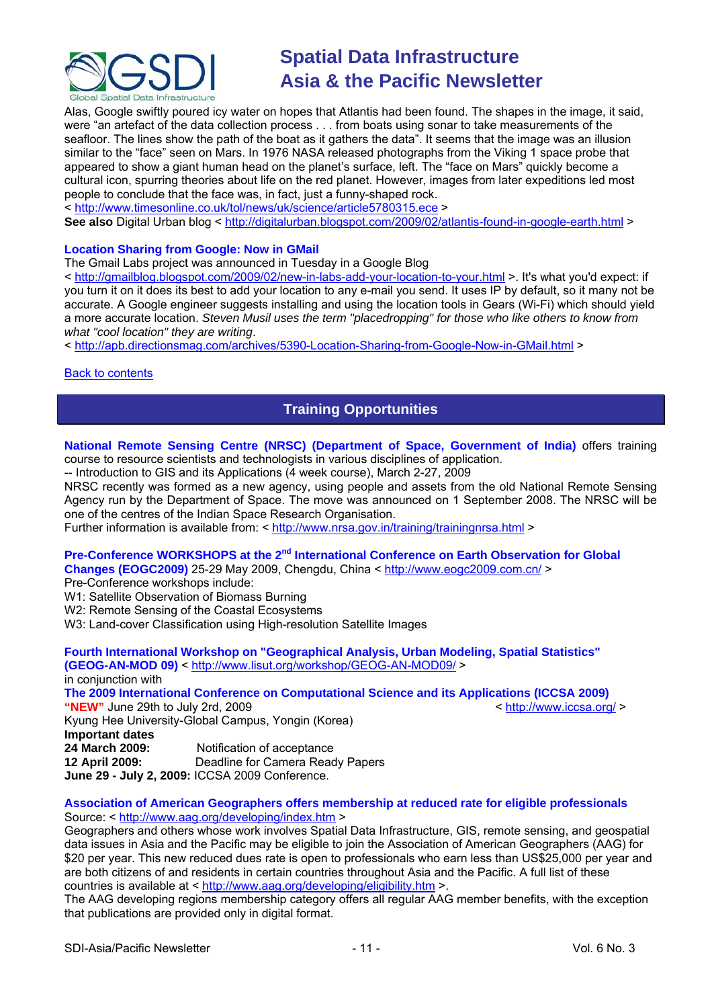<span id="page-10-0"></span>

Alas, Google swiftly poured icy water on hopes that Atlantis had been found. The shapes in the image, it said, were "an artefact of the data collection process . . . from boats using sonar to take measurements of the seafloor. The lines show the path of the boat as it gathers the data". It seems that the image was an illusion similar to the "face" seen on Mars. In 1976 NASA released photographs from the Viking 1 space probe that appeared to show a giant human head on the planet's surface, left. The "face on Mars" quickly become a cultural icon, spurring theories about life on the red planet. However, images from later expeditions led most people to conclude that the face was, in fact, just a funny-shaped rock.

< <http://www.timesonline.co.uk/tol/news/uk/science/article5780315.ece> >

See also Digital Urban blog <<http://digitalurban.blogspot.com/2009/02/atlantis-found-in-google-earth.html> >

### **Location Sharing from Google: Now in GMail**

The Gmail Labs project was announced in Tuesday in a Google Blog

< <http://gmailblog.blogspot.com/2009/02/new-in-labs-add-your-location-to-your.html> >. It's what you'd expect: if you turn it on it does its best to add your location to any e-mail you send. It uses IP by default, so it many not be accurate. A Google engineer suggests installing and using the location tools in Gears (Wi-Fi) which should yield a more accurate location. *Steven Musil uses the term "placedropping" for those who like others to know from what "cool location" they are writing*.

< <http://apb.directionsmag.com/archives/5390-Location-Sharing-from-Google-Now-in-GMail.html> >

### [Back to contents](#page-0-0)

# **Training Opportunities**

**National Remote Sensing Centre (NRSC) (Department of Space, Government of India)** offers training course to resource scientists and technologists in various disciplines of application.

-- Introduction to GIS and its Applications (4 week course), March 2-27, 2009

NRSC recently was formed as a new agency, using people and assets from the old National Remote Sensing Agency run by the Department of Space. The move was announced on 1 September 2008. The NRSC will be one of the centres of the Indian Space Research Organisation.

Further information is available from: < <http://www.nrsa.gov.in/training/trainingnrsa.html> >

# Pre-Conference WORKSHOPS at the 2<sup>nd</sup> International Conference on Earth Observation for Global

**Changes (EOGC2009)** 25-29 May 2009, Chengdu, China <<http://www.eogc2009.com.cn/>>

Pre-Conference workshops include:

- W1: Satellite Observation of Biomass Burning
- W<sub>2</sub>: Remote Sensing of the Coastal Ecosystems
- W3: Land-cover Classification using High-resolution Satellite Images

**Fourth International Workshop on "Geographical Analysis, Urban Modeling, Spatial Statistics" (GEOG-AN-MOD 09)** <<http://www.lisut.org/workshop/GEOG-AN-MOD09/>> in conjunction with **The 2009 International Conference on Computational Science and its Applications (ICCSA 2009)**<br>
"NEW" June 29th to July 2rd, 2009<br>
> http://www.iccsa.org/ "NEW" June 29th to July 2rd, 2009 Kyung Hee University-Global Campus, Yongin (Korea) **Important dates 24 March 2009:** Notification of acceptance **12 April 2009:** Deadline for Camera Ready Papers

**June 29 - July 2, 2009:** ICCSA 2009 Conference.

#### **Association of American Geographers offers membership at reduced rate for eligible professionals**  Source: < <http://www.aag.org/developing/index.htm> >

Geographers and others whose work involves Spatial Data Infrastructure, GIS, remote sensing, and geospatial data issues in Asia and the Pacific may be eligible to join the Association of American Geographers (AAG) for \$20 per year. This new reduced dues rate is open to professionals who earn less than US\$25,000 per year and are both citizens of and residents in certain countries throughout Asia and the Pacific. A full list of these countries is available at <<http://www.aag.org/developing/eligibility.htm>>.

The AAG developing regions membership category offers all regular AAG member benefits, with the exception that publications are provided only in digital format.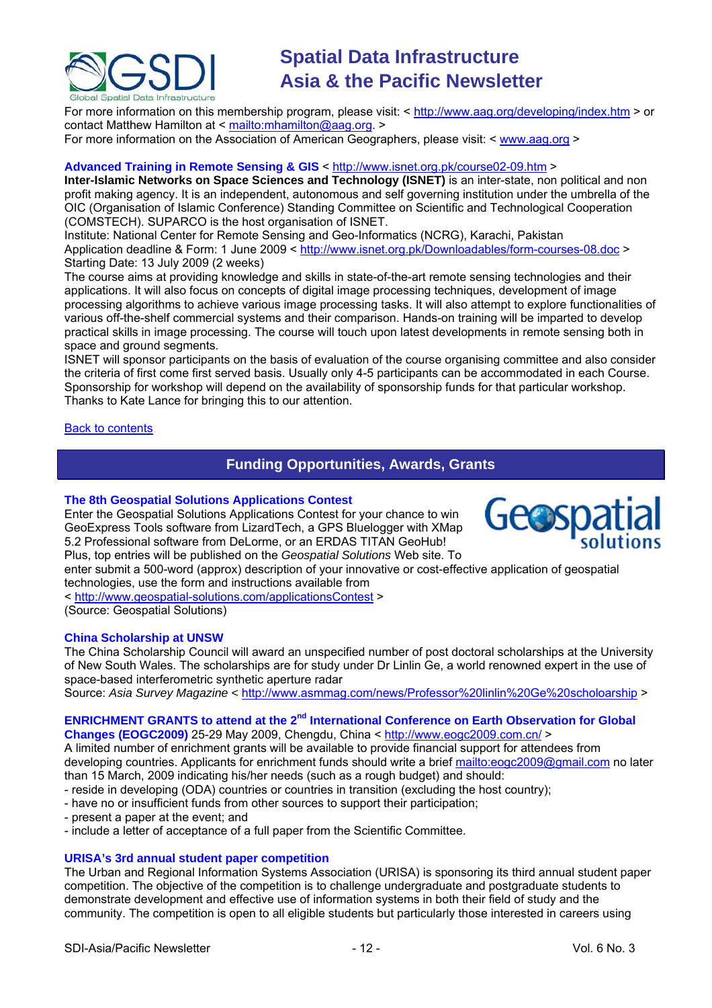<span id="page-11-0"></span>

For more information on this membership program, please visit: < <http://www.aag.org/developing/index.htm>> or contact Matthew Hamilton at <<mailto:mhamilton@aag.org>. >

For more information on the Association of American Geographers, please visit: < [www.aag.org](http://www.aag.org/) >

## **Advanced Training in Remote Sensing & GIS** <<http://www.isnet.org.pk/course02-09.htm>>

**Inter-Islamic Networks on Space Sciences and Technology (ISNET)** is an inter-state, non political and non profit making agency. It is an independent, autonomous and self governing institution under the umbrella of the OIC (Organisation of Islamic Conference) Standing Committee on Scientific and Technological Cooperation (COMSTECH). SUPARCO is the host organisation of ISNET.

Institute: National Center for Remote Sensing and Geo-Informatics (NCRG), Karachi, Pakistan Application deadline & Form: 1 June 2009 < <http://www.isnet.org.pk/Downloadables/form-courses-08.doc>> Starting Date: 13 July 2009 (2 weeks)

The course aims at providing knowledge and skills in state-of-the-art remote sensing technologies and their applications. It will also focus on concepts of digital image processing techniques, development of image processing algorithms to achieve various image processing tasks. It will also attempt to explore functionalities of various off-the-shelf commercial systems and their comparison. Hands-on training will be imparted to develop practical skills in image processing. The course will touch upon latest developments in remote sensing both in space and ground segments.

ISNET will sponsor participants on the basis of evaluation of the course organising committee and also consider the criteria of first come first served basis. Usually only 4-5 participants can be accommodated in each Course. Sponsorship for workshop will depend on the availability of sponsorship funds for that particular workshop. Thanks to Kate Lance for bringing this to our attention.

## Back to [contents](#page-0-0)

# **Funding Opportunities, Awards, Grants**

### **[The 8th Geospatial Solutions Applications Contest](http://www.geospatial-solutions.com/applicationsContest)**

Enter the Geospatial Solutions Applications Contest for your chance to win GeoExpress Tools software from LizardTech, a GPS Bluelogger with XMap 5.2 Professional software from DeLorme, or an ERDAS TITAN GeoHub! Plus, top entries will be published on the *Geospatial Solutions* Web site. To



< <http://www.geospatial-solutions.com/applicationsContest> >

(Source: Geospatial Solutions)

### **China Scholarship at UNSW**

The China Scholarship Council will award an unspecified number of post doctoral scholarships at the University of New South Wales. The scholarships are for study under Dr Linlin Ge, a world renowned expert in the use of space-based interferometric synthetic aperture radar

Source: Asia Survey Magazine < [http://www.asmmag.com/news/Professor%20linlin%20Ge%20scholoarship](http://www.asmmag.com/news/Professor%2520linlin%2520Ge%2520scholoarship) >

## **ENRICHMENT GRANTS to attend at the 2<sup>nd</sup> International Conference on Earth Observation for Global Changes (EOGC2009)** 25-29 May 2009, Chengdu, China <<http://www.eogc2009.com.cn/>>

A limited number of enrichment grants will be available to provide financial support for attendees from developing countries. Applicants for enrichment funds should write a brief <mailto:eogc2009@gmail.com>no later than 15 March, 2009 indicating his/her needs (such as a rough budget) and should:

- reside in developing (ODA) countries or countries in transition (excluding the host country);

- have no or insufficient funds from other sources to support their participation;
- present a paper at the event; and
- include a letter of acceptance of a full paper from the Scientific Committee.

# **URISA's 3rd annual student paper competition**

The Urban and Regional Information Systems Association (URISA) is sponsoring its third annual student paper competition. The objective of the competition is to challenge undergraduate and postgraduate students to demonstrate development and effective use of information systems in both their field of study and the community. The competition is open to all eligible students but particularly those interested in careers using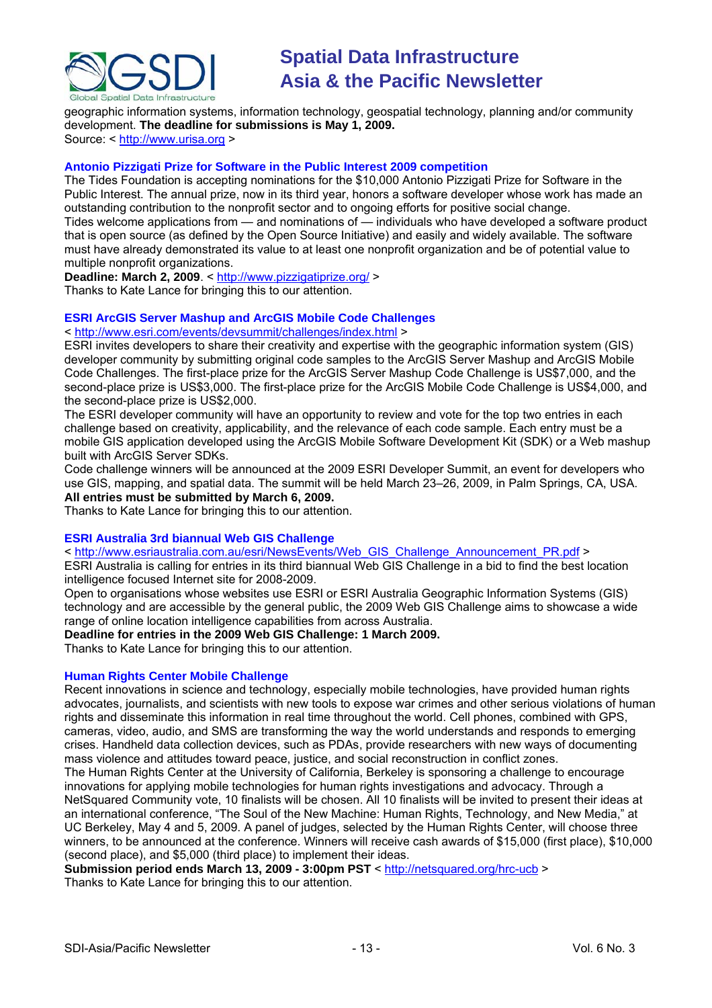

geographic information systems, information technology, geospatial technology, planning and/or community development. **The deadline for submissions is May 1, 2009.**

Source: < [http://www.urisa.org](http://www.urisa.org/node/1190) >

# **Antonio Pizzigati Prize for Software in the Public Interest 2009 competition**

The Tides Foundation is accepting nominations for the \$10,000 Antonio Pizzigati Prize for Software in the Public Interest. The annual prize, now in its third year, honors a software developer whose work has made an outstanding contribution to the nonprofit sector and to ongoing efforts for positive social change. Tides welcome applications from — and nominations of — individuals who have developed a software product that is open source (as defined by the Open Source Initiative) and easily and widely available. The software must have already demonstrated its value to at least one nonprofit organization and be of potential value to multiple nonprofit organizations.

**Deadline: March 2, 2009**. <<http://www.pizzigatiprize.org/>> Thanks to Kate Lance for bringing this to our attention.

# **ESRI ArcGIS Server Mashup and ArcGIS Mobile Code Challenges**

## < <http://www.esri.com/events/devsummit/challenges/index.html> >

ESRI invites developers to share their creativity and expertise with the geographic information system (GIS) developer community by submitting original code samples to the ArcGIS Server Mashup and ArcGIS Mobile Code Challenges. The first-place prize for the ArcGIS Server Mashup Code Challenge is US\$7,000, and the second-place prize is US\$3,000. The first-place prize for the ArcGIS Mobile Code Challenge is US\$4,000, and the second-place prize is US\$2,000.

The ESRI developer community will have an opportunity to review and vote for the top two entries in each challenge based on creativity, applicability, and the relevance of each code sample. Each entry must be a mobile GIS application developed using the ArcGIS Mobile Software Development Kit (SDK) or a Web mashup built with ArcGIS Server SDKs.

Code challenge winners will be announced at the 2009 ESRI Developer Summit, an event for developers who use GIS, mapping, and spatial data. The summit will be held March 23–26, 2009, in Palm Springs, CA, USA.

## **All entries must be submitted by March 6, 2009.**

Thanks to Kate Lance for bringing this to our attention.

### **ESRI Australia 3rd biannual Web GIS Challenge**

### < [http://www.esriaustralia.com.au/esri/NewsEvents/Web\\_GIS\\_Challenge\\_Announcement\\_PR.pdf](http://www.esriaustralia.com.au/esri/NewsEvents/Web_GIS_Challenge_Announcement_PR.pdf) >

ESRI Australia is calling for entries in its third biannual Web GIS Challenge in a bid to find the best location intelligence focused Internet site for 2008-2009.

Open to organisations whose websites use ESRI or ESRI Australia Geographic Information Systems (GIS) technology and are accessible by the general public, the 2009 Web GIS Challenge aims to showcase a wide range of online location intelligence capabilities from across Australia.

### **Deadline for entries in the 2009 Web GIS Challenge: 1 March 2009.**

Thanks to Kate Lance for bringing this to our attention.

# **Human Rights Center Mobile Challenge**

Recent innovations in science and technology, especially mobile technologies, have provided human rights advocates, journalists, and scientists with new tools to expose war crimes and other serious violations of human rights and disseminate this information in real time throughout the world. Cell phones, combined with GPS, cameras, video, audio, and SMS are transforming the way the world understands and responds to emerging crises. Handheld data collection devices, such as PDAs, provide researchers with new ways of documenting mass violence and attitudes toward peace, justice, and social reconstruction in conflict zones.

The Human Rights Center at the University of California, Berkeley is sponsoring a challenge to encourage innovations for applying mobile technologies for human rights investigations and advocacy. Through a NetSquared Community vote, 10 finalists will be chosen. All 10 finalists will be invited to present their ideas at an international conference, "The Soul of the New Machine: Human Rights, Technology, and New Media," at UC Berkeley, May 4 and 5, 2009. A panel of judges, selected by the Human Rights Center, will choose three winners, to be announced at the conference. Winners will receive cash awards of \$15,000 (first place), \$10,000 (second place), and \$5,000 (third place) to implement their ideas.

**Submission period ends March 13, 2009 - 3:00pm PST** <<http://netsquared.org/hrc-ucb>> Thanks to Kate Lance for bringing this to our attention.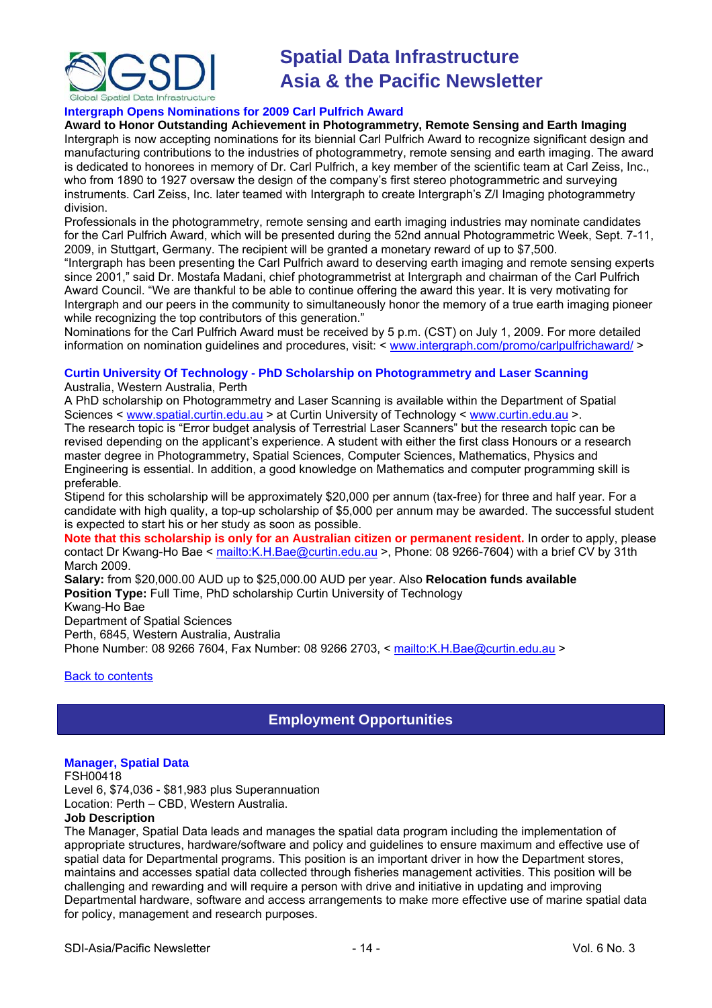<span id="page-13-1"></span><span id="page-13-0"></span>

### **Intergraph Opens Nominations for 2009 Carl Pulfrich Award**

**Award to Honor Outstanding Achievement in Photogrammetry, Remote Sensing and Earth Imaging** 

Intergraph is now accepting nominations for its biennial Carl Pulfrich Award to recognize significant design and manufacturing contributions to the industries of photogrammetry, remote sensing and earth imaging. The award is dedicated to honorees in memory of Dr. Carl Pulfrich, a key member of the scientific team at Carl Zeiss, Inc., who from 1890 to 1927 oversaw the design of the company's first stereo photogrammetric and surveying instruments. Carl Zeiss, Inc. later teamed with Intergraph to create Intergraph's Z/I Imaging photogrammetry division.

Professionals in the photogrammetry, remote sensing and earth imaging industries may nominate candidates for the Carl Pulfrich Award, which will be presented during the 52nd annual Photogrammetric Week, Sept. 7-11, 2009, in Stuttgart, Germany. The recipient will be granted a monetary reward of up to \$7,500.

"Intergraph has been presenting the Carl Pulfrich award to deserving earth imaging and remote sensing experts since 2001," said Dr. Mostafa Madani, chief photogrammetrist at Intergraph and chairman of the Carl Pulfrich Award Council. "We are thankful to be able to continue offering the award this year. It is very motivating for Intergraph and our peers in the community to simultaneously honor the memory of a true earth imaging pioneer while recognizing the top contributors of this generation."

Nominations for the Carl Pulfrich Award must be received by 5 p.m. (CST) on July 1, 2009. For more detailed information on nomination guidelines and procedures, visit: < [www.intergraph.com/promo/carlpulfrichaward/](http://www.intergraph.com/promo/carlpulfrichaward/) >

### **Curtin University Of Technology - PhD Scholarship on Photogrammetry and Laser Scanning**

Australia, Western Australia, Perth

A PhD scholarship on Photogrammetry and Laser Scanning is available within the Department of Spatial Sciences < [www.spatial.curtin.edu.au](http://www.spatial.curtin.edu.au/) > at Curtin University of Technology < [www.curtin.edu.au](http://www.curtin.edu.au/) >. The research topic is "Error budget analysis of Terrestrial Laser Scanners" but the research topic can be revised depending on the applicant's experience. A student with either the first class Honours or a research master degree in Photogrammetry, Spatial Sciences, Computer Sciences, Mathematics, Physics and Engineering is essential. In addition, a good knowledge on Mathematics and computer programming skill is preferable.

Stipend for this scholarship will be approximately \$20,000 per annum (tax-free) for three and half year. For a candidate with high quality, a top-up scholarship of \$5,000 per annum may be awarded. The successful student is expected to start his or her study as soon as possible.

**Note that this scholarship is only for an Australian citizen or permanent resident.** In order to apply, please contact Dr Kwang-Ho Bae < <mailto:K.H.Bae@curtin.edu.au>>, Phone: 08 9266-7604) with a brief CV by 31th March 2009.

**Salary:** from \$20,000.00 AUD up to \$25,000.00 AUD per year. Also **Relocation funds available Position Type:** Full Time, PhD scholarship Curtin University of Technology Kwang-Ho Bae Department of Spatial Sciences

Perth, 6845, Western Australia, Australia

Phone Number: 08 9266 7604, Fax Number: 08 9266 2703, <<mailto:K.H.Bae@curtin.edu.au> >

### [Back to contents](#page-0-0)

# **Employment Opportunities**

### **Manager, Spatial Data**

FSH00418

Level 6, \$74,036 - \$81,983 plus Superannuation

Location: Perth – CBD, Western Australia.

# **Job Description**

The Manager, Spatial Data leads and manages the spatial data program including the implementation of appropriate structures, hardware/software and policy and guidelines to ensure maximum and effective use of spatial data for Departmental programs. This position is an important driver in how the Department stores, maintains and accesses spatial data collected through fisheries management activities. This position will be challenging and rewarding and will require a person with drive and initiative in updating and improving Departmental hardware, software and access arrangements to make more effective use of marine spatial data for policy, management and research purposes.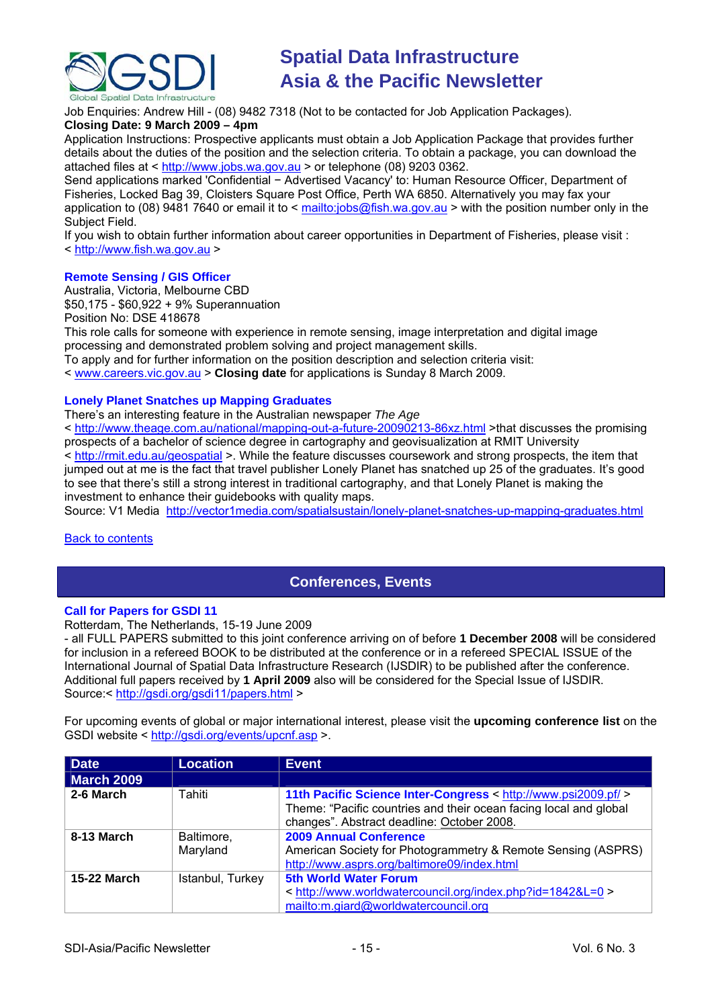<span id="page-14-0"></span>

Job Enquiries: Andrew Hill - (08) 9482 7318 (Not to be contacted for Job Application Packages).

# **Closing Date: 9 March 2009 – 4pm**

Application Instructions: Prospective applicants must obtain a Job Application Package that provides further details about the duties of the position and the selection criteria. To obtain a package, you can download the attached files at < [http://www.jobs.wa.gov.au](http://www.jobs.wa.gov.au/) > or telephone (08) 9203 0362.

Send applications marked 'Confidential − Advertised Vacancy' to: Human Resource Officer, Department of Fisheries, Locked Bag 39, Cloisters Square Post Office, Perth WA 6850. Alternatively you may fax your application to (08) 9481 7640 or email it to < <mailto:jobs@fish.wa.gov.au>> with the position number only in the Subject Field.

If you wish to obtain further information about career opportunities in Department of Fisheries, please visit : < [http://www.fish.wa.gov.au](http://www.fish.wa.gov.au/) >

# **Remote Sensing / GIS Officer**

Australia, Victoria, Melbourne CBD \$50,175 - \$60,922 + 9% Superannuation

Position No: DSE 418678

This role calls for someone with experience in remote sensing, image interpretation and digital image processing and demonstrated problem solving and project management skills.

To apply and for further information on the position description and selection criteria visit:

< [www.careers.vic.gov.au](http://www.careers.vic.gov.au/) > **Closing date** for applications is Sunday 8 March 2009.

## **Lonely Planet Snatches up Mapping Graduates**

There's an interesting feature in the Australian newspaper *The Age*

< <http://www.theage.com.au/national/mapping-out-a-future-20090213-86xz.html> >that discusses the promising prospects of a bachelor of science degree in cartography and geovisualization at RMIT University < <http://rmit.edu.au/geospatial>>. While the feature discusses coursework and strong prospects, the item that jumped out at me is the fact that travel publisher Lonely Planet has snatched up 25 of the graduates. It's good to see that there's still a strong interest in traditional cartography, and that Lonely Planet is making the

investment to enhance their quidebooks with quality maps.

Source: V1 Media <http://vector1media.com/spatialsustain/lonely-planet-snatches-up-mapping-graduates.html>

[Back to contents](#page-0-0)

# **Conferences, Events**

# **Call for Papers for GSDI 11**

Rotterdam, The Netherlands, 15-19 June 2009

- all FULL PAPERS submitted to this joint conference arriving on of before **1 December 2008** will be considered for inclusion in a refereed BOOK to be distributed at the conference or in a refereed SPECIAL ISSUE of the International Journal of Spatial Data Infrastructure Research (IJSDIR) to be published after the conference. Additional full papers received by **1 April 2009** also will be considered for the Special Issue of IJSDIR. Source:<<http://gsdi.org/gsdi11/papers.html>>

For upcoming events of global or major international interest, please visit the **upcoming conference list** on the GSDI website <<http://gsdi.org/events/upcnf.asp> >.

| <b>Date</b>        | <b>Location</b>        | <b>Event</b>                                                                                                                                                                      |
|--------------------|------------------------|-----------------------------------------------------------------------------------------------------------------------------------------------------------------------------------|
| <b>March 2009</b>  |                        |                                                                                                                                                                                   |
| 2-6 March          | Tahiti                 | 11th Pacific Science Inter-Congress < http://www.psi2009.pf/ ><br>Theme: "Pacific countries and their ocean facing local and global<br>changes". Abstract deadline: October 2008. |
| 8-13 March         | Baltimore,<br>Maryland | <b>2009 Annual Conference</b><br>American Society for Photogrammetry & Remote Sensing (ASPRS)<br>http://www.asprs.org/baltimore09/index.html                                      |
| <b>15-22 March</b> | Istanbul, Turkey       | <b>5th World Water Forum</b><br>< http://www.worldwatercouncil.org/index.php?id=1842&L=0 ><br>mailto:m.giard@worldwatercouncil.org                                                |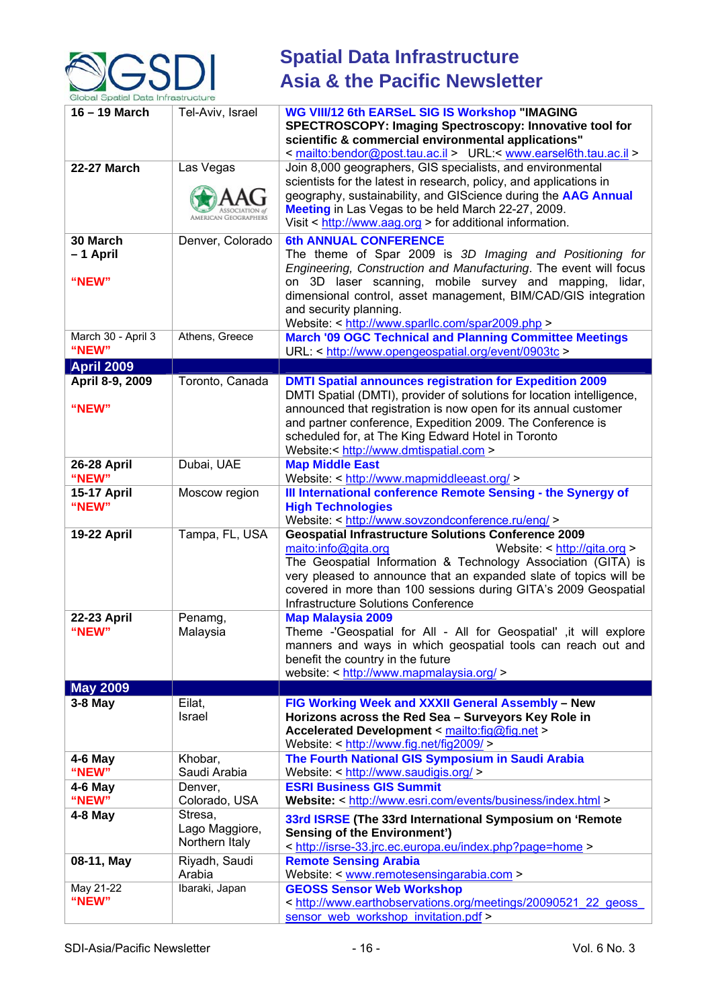

| $16 - 19$ March               | Tel-Aviv, Israel                            | <b>WG VIII/12 6th EARSeL SIG IS Workshop "IMAGING</b><br>SPECTROSCOPY: Imaging Spectroscopy: Innovative tool for<br>scientific & commercial environmental applications"<br>< mailto:bendor@post.tau.ac.il > URL:< www.earsel6th.tau.ac.il >                                                                                                                              |
|-------------------------------|---------------------------------------------|--------------------------------------------------------------------------------------------------------------------------------------------------------------------------------------------------------------------------------------------------------------------------------------------------------------------------------------------------------------------------|
| <b>22-27 March</b>            | Las Vegas<br>AMERICAN GEOGRAPHERS           | Join 8,000 geographers, GIS specialists, and environmental<br>scientists for the latest in research, policy, and applications in<br>geography, sustainability, and GIScience during the AAG Annual<br>Meeting in Las Vegas to be held March 22-27, 2009.<br>Visit $\leq$ http://www.aag.org $>$ for additional information.                                              |
| 30 March<br>-1 April<br>"NEW" | Denver, Colorado                            | <b>6th ANNUAL CONFERENCE</b><br>The theme of Spar 2009 is 3D Imaging and Positioning for<br>Engineering, Construction and Manufacturing. The event will focus<br>on 3D laser scanning, mobile survey and mapping, lidar,<br>dimensional control, asset management, BIM/CAD/GIS integration<br>and security planning.<br>Website: < http://www.sparllc.com/spar2009.php > |
| March 30 - April 3<br>"NEW"   | Athens, Greece                              | <b>March '09 OGC Technical and Planning Committee Meetings</b><br>URL: < http://www.opengeospatial.org/event/0903tc >                                                                                                                                                                                                                                                    |
| <b>April 2009</b>             |                                             |                                                                                                                                                                                                                                                                                                                                                                          |
| April 8-9, 2009<br>"NEW"      | Toronto, Canada                             | <b>DMTI Spatial announces registration for Expedition 2009</b><br>DMTI Spatial (DMTI), provider of solutions for location intelligence,<br>announced that registration is now open for its annual customer<br>and partner conference, Expedition 2009. The Conference is<br>scheduled for, at The King Edward Hotel in Toronto<br>Website:< http://www.dmtispatial.com > |
| <b>26-28 April</b><br>"NEW"   | Dubai, UAE                                  | <b>Map Middle East</b><br>Website: < http://www.mapmiddleeast.org/ >                                                                                                                                                                                                                                                                                                     |
| <b>15-17 April</b><br>"NEW"   | Moscow region                               | III International conference Remote Sensing - the Synergy of<br><b>High Technologies</b><br>Website: < http://www.sovzondconference.ru/eng/ >                                                                                                                                                                                                                            |
| <b>19-22 April</b>            | Tampa, FL, USA                              | <b>Geospatial Infrastructure Solutions Conference 2009</b><br>maito:info@gita.org<br>Website: < http://gita.org ><br>The Geospatial Information & Technology Association (GITA) is<br>very pleased to announce that an expanded slate of topics will be<br>covered in more than 100 sessions during GITA's 2009 Geospatial<br><b>Infrastructure Solutions Conference</b> |
| 22-23 April<br>"NEW"          | Penamg,<br>Malaysia                         | <b>Map Malaysia 2009</b><br>Theme -'Geospatial for All - All for Geospatial' ,it will explore<br>manners and ways in which geospatial tools can reach out and<br>benefit the country in the future<br>website: < http://www.mapmalaysia.org/ >                                                                                                                           |
| <b>May 2009</b>               |                                             |                                                                                                                                                                                                                                                                                                                                                                          |
| $3-8$ May                     | Eilat,<br>Israel                            | FIG Working Week and XXXII General Assembly - New<br>Horizons across the Red Sea - Surveyors Key Role in<br>Accelerated Development < mailto:fig@fig.net ><br>Website: < http://www.fig.net/fig2009/>                                                                                                                                                                    |
| $4-6$ May<br>"NEW"            | Khobar,<br>Saudi Arabia                     | The Fourth National GIS Symposium in Saudi Arabia<br>Website: < http://www.saudigis.org/ >                                                                                                                                                                                                                                                                               |
| 4-6 May<br>"NEW"              | Denver,<br>Colorado, USA                    | <b>ESRI Business GIS Summit</b><br>Website: < http://www.esri.com/events/business/index.html >                                                                                                                                                                                                                                                                           |
| $4-8$ May                     | Stresa,<br>Lago Maggiore,<br>Northern Italy | 33rd ISRSE (The 33rd International Symposium on 'Remote<br><b>Sensing of the Environment')</b><br>< http://isrse-33.jrc.ec.europa.eu/index.php?page=home >                                                                                                                                                                                                               |
| 08-11, May                    | Riyadh, Saudi<br>Arabia                     | <b>Remote Sensing Arabia</b><br>Website: < www.remotesensingarabia.com >                                                                                                                                                                                                                                                                                                 |
| May 21-22<br>"NEW"            | Ibaraki, Japan                              | <b>GEOSS Sensor Web Workshop</b><br>< http://www.earthobservations.org/meetings/20090521 22 geoss<br>sensor web workshop invitation.pdf >                                                                                                                                                                                                                                |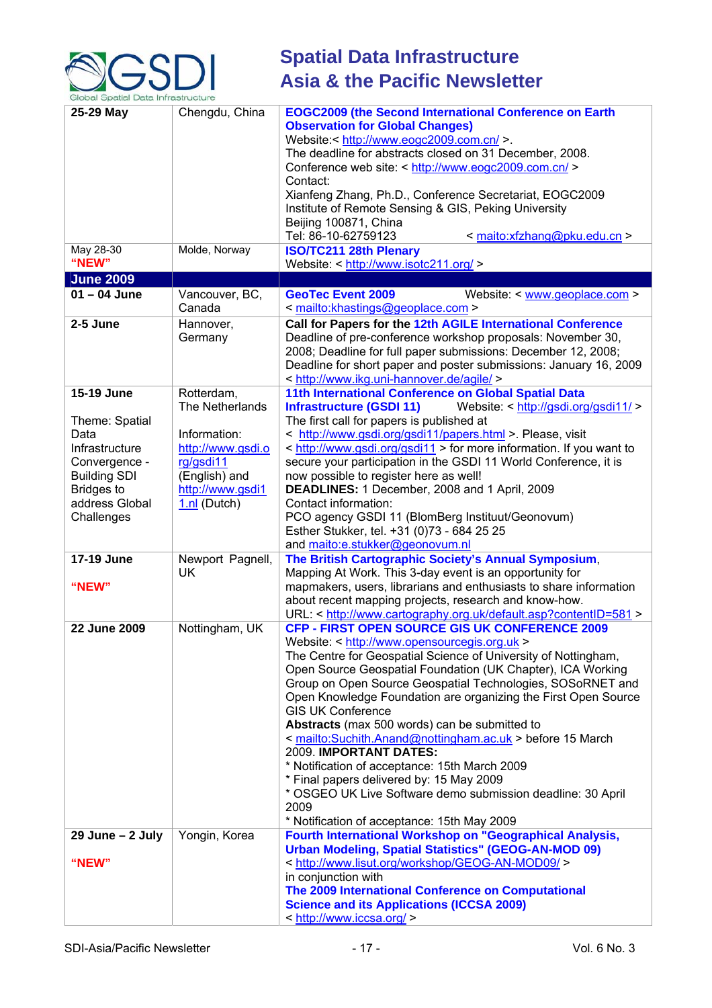

| 25-29 May<br>May 28-30<br>"NEW"                                                                                                                     | Chengdu, China<br>Molde, Norway                                                                                                        | <b>EOGC2009 (the Second International Conference on Earth</b><br><b>Observation for Global Changes)</b><br>Website:< http://www.eogc2009.com.cn/ >.<br>The deadline for abstracts closed on 31 December, 2008.<br>Conference web site: < http://www.eogc2009.com.cn/ ><br>Contact:<br>Xianfeng Zhang, Ph.D., Conference Secretariat, EOGC2009<br>Institute of Remote Sensing & GIS, Peking University<br>Beijing 100871, China<br>Tel: 86-10-62759123<br>< maito:xfzhang@pku.edu.cn ><br><b>ISO/TC211 28th Plenary</b><br>Website: < http://www.isotc211.org/ >                                                                                                                                                                                               |
|-----------------------------------------------------------------------------------------------------------------------------------------------------|----------------------------------------------------------------------------------------------------------------------------------------|---------------------------------------------------------------------------------------------------------------------------------------------------------------------------------------------------------------------------------------------------------------------------------------------------------------------------------------------------------------------------------------------------------------------------------------------------------------------------------------------------------------------------------------------------------------------------------------------------------------------------------------------------------------------------------------------------------------------------------------------------------------|
| <b>June 2009</b>                                                                                                                                    |                                                                                                                                        |                                                                                                                                                                                                                                                                                                                                                                                                                                                                                                                                                                                                                                                                                                                                                               |
| $01 - 04$ June                                                                                                                                      | Vancouver, BC,<br>Canada                                                                                                               | <b>GeoTec Event 2009</b><br>Website: $\leq$ www.geoplace.com $\geq$<br>< mailto:khastings@geoplace.com >                                                                                                                                                                                                                                                                                                                                                                                                                                                                                                                                                                                                                                                      |
| 2-5 June                                                                                                                                            | Hannover,<br>Germany                                                                                                                   | Call for Papers for the 12th AGILE International Conference<br>Deadline of pre-conference workshop proposals: November 30,<br>2008; Deadline for full paper submissions: December 12, 2008;<br>Deadline for short paper and poster submissions: January 16, 2009<br>< http://www.ikg.uni-hannover.de/agile/ >                                                                                                                                                                                                                                                                                                                                                                                                                                                 |
| 15-19 June<br>Theme: Spatial<br>Data<br>Infrastructure<br>Convergence -<br><b>Building SDI</b><br><b>Bridges to</b><br>address Global<br>Challenges | Rotterdam,<br>The Netherlands<br>Information:<br>http://www.gsdi.o<br>rg/gsdi11<br>(English) and<br>http://www.gsdi1<br>$1.nl$ (Dutch) | 11th International Conference on Global Spatial Data<br>Website: < http://gsdi.org/gsdi11/ ><br><b>Infrastructure (GSDI 11)</b><br>The first call for papers is published at<br>< http://www.gsdi.org/gsdi11/papers.html > Please, visit<br>< http://www.gsdi.org/gsdi11 > for more information. If you want to<br>secure your participation in the GSDI 11 World Conference, it is<br>now possible to register here as well!<br>DEADLINES: 1 December, 2008 and 1 April, 2009<br>Contact information:<br>PCO agency GSDI 11 (BlomBerg Instituut/Geonovum)<br>Esther Stukker, tel. +31 (0)73 - 684 25 25                                                                                                                                                      |
| 17-19 June<br>"NEW"                                                                                                                                 | Newport Pagnell,<br><b>UK</b>                                                                                                          | and maito:e.stukker@geonovum.nl<br>The British Cartographic Society's Annual Symposium,<br>Mapping At Work. This 3-day event is an opportunity for<br>mapmakers, users, librarians and enthusiasts to share information<br>about recent mapping projects, research and know-how.<br>URL: < http://www.cartography.org.uk/default.asp?contentID=581 >                                                                                                                                                                                                                                                                                                                                                                                                          |
| 22 June 2009                                                                                                                                        | Nottingham, UK                                                                                                                         | <b>CFP - FIRST OPEN SOURCE GIS UK CONFERENCE 2009</b><br>Website: < http://www.opensourcegis.org.uk ><br>The Centre for Geospatial Science of University of Nottingham,<br>Open Source Geospatial Foundation (UK Chapter), ICA Working<br>Group on Open Source Geospatial Technologies, SOSoRNET and<br>Open Knowledge Foundation are organizing the First Open Source<br><b>GIS UK Conference</b><br>Abstracts (max 500 words) can be submitted to<br>< mailto:Suchith.Anand@nottingham.ac.uk > before 15 March<br>2009. IMPORTANT DATES:<br>* Notification of acceptance: 15th March 2009<br>* Final papers delivered by: 15 May 2009<br>* OSGEO UK Live Software demo submission deadline: 30 April<br>2009<br>* Notification of acceptance: 15th May 2009 |
| $29$ June $-2$ July<br>"NEW"                                                                                                                        | Yongin, Korea                                                                                                                          | Fourth International Workshop on "Geographical Analysis,<br><b>Urban Modeling, Spatial Statistics" (GEOG-AN-MOD 09)</b><br>< http://www.lisut.org/workshop/GEOG-AN-MOD09/ ><br>in conjunction with<br>The 2009 International Conference on Computational<br><b>Science and its Applications (ICCSA 2009)</b><br>< http://www.iccsa.org/ >                                                                                                                                                                                                                                                                                                                                                                                                                     |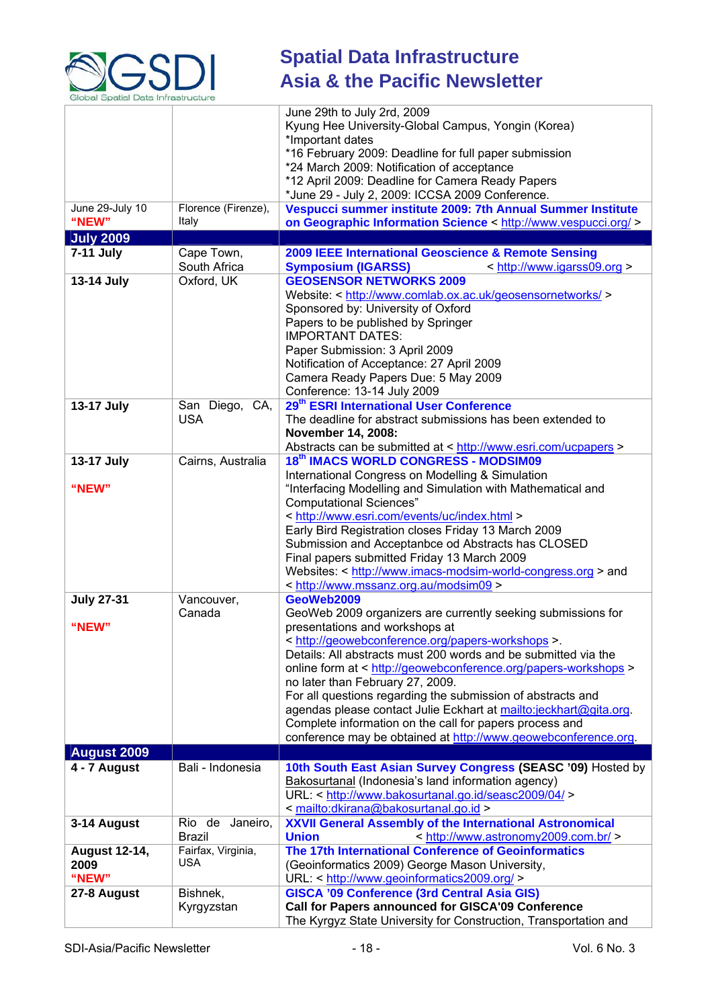

|                      |                     | June 29th to July 2rd, 2009                                                                                                                 |
|----------------------|---------------------|---------------------------------------------------------------------------------------------------------------------------------------------|
|                      |                     | Kyung Hee University-Global Campus, Yongin (Korea)                                                                                          |
|                      |                     | *Important dates                                                                                                                            |
|                      |                     | *16 February 2009: Deadline for full paper submission                                                                                       |
|                      |                     | *24 March 2009: Notification of acceptance<br>*12 April 2009: Deadline for Camera Ready Papers                                              |
|                      |                     | *June 29 - July 2, 2009: ICCSA 2009 Conference.                                                                                             |
| June 29-July 10      | Florence (Firenze), | Vespucci summer institute 2009: 7th Annual Summer Institute                                                                                 |
| "NEW"                | Italy               | on Geographic Information Science < http://www.vespucci.org/ >                                                                              |
| <b>July 2009</b>     |                     |                                                                                                                                             |
| 7-11 July            | Cape Town,          | 2009 IEEE International Geoscience & Remote Sensing                                                                                         |
|                      | South Africa        | <b>Symposium (IGARSS)</b><br>< http://www.igarss09.org >                                                                                    |
| 13-14 July           | Oxford, UK          | <b>GEOSENSOR NETWORKS 2009</b>                                                                                                              |
|                      |                     | Website: < http://www.comlab.ox.ac.uk/geosensornetworks/ >                                                                                  |
|                      |                     | Sponsored by: University of Oxford<br>Papers to be published by Springer                                                                    |
|                      |                     | <b>IMPORTANT DATES:</b>                                                                                                                     |
|                      |                     | Paper Submission: 3 April 2009                                                                                                              |
|                      |                     | Notification of Acceptance: 27 April 2009                                                                                                   |
|                      |                     | Camera Ready Papers Due: 5 May 2009                                                                                                         |
|                      |                     | Conference: 13-14 July 2009                                                                                                                 |
| 13-17 July           | San Diego, CA,      | 29 <sup>th</sup> ESRI International User Conference                                                                                         |
|                      | <b>USA</b>          | The deadline for abstract submissions has been extended to                                                                                  |
|                      |                     | November 14, 2008:                                                                                                                          |
|                      |                     | Abstracts can be submitted at < http://www.esri.com/ucpapers >                                                                              |
| 13-17 July           | Cairns, Australia   | 18th IMACS WORLD CONGRESS - MODSIM09                                                                                                        |
|                      |                     | International Congress on Modelling & Simulation                                                                                            |
| "NEW"                |                     | "Interfacing Modelling and Simulation with Mathematical and                                                                                 |
|                      |                     | <b>Computational Sciences"</b><br>< http://www.esri.com/events/uc/index.html >                                                              |
|                      |                     | Early Bird Registration closes Friday 13 March 2009                                                                                         |
|                      |                     | Submission and Acceptanbce od Abstracts has CLOSED                                                                                          |
|                      |                     | Final papers submitted Friday 13 March 2009                                                                                                 |
|                      |                     | Websites: < http://www.imacs-modsim-world-congress.org > and                                                                                |
|                      |                     | < http://www.mssanz.org.au/modsim09 >                                                                                                       |
| <b>July 27-31</b>    | Vancouver,          | GeoWeb2009                                                                                                                                  |
|                      | Canada              | GeoWeb 2009 organizers are currently seeking submissions for                                                                                |
| "NEW"                |                     | presentations and workshops at                                                                                                              |
|                      |                     | < http://geowebconference.org/papers-workshops >.                                                                                           |
|                      |                     | Details: All abstracts must 200 words and be submitted via the<br>online form at < http://geowebconference.org/papers-workshops >           |
|                      |                     | no later than February 27, 2009.                                                                                                            |
|                      |                     | For all questions regarding the submission of abstracts and                                                                                 |
|                      |                     | agendas please contact Julie Eckhart at mailto:jeckhart@gita.org.                                                                           |
|                      |                     | Complete information on the call for papers process and                                                                                     |
|                      |                     | conference may be obtained at http://www.geowebconference.org.                                                                              |
| <b>August 2009</b>   |                     |                                                                                                                                             |
| 4 - 7 August         | Bali - Indonesia    | 10th South East Asian Survey Congress (SEASC '09) Hosted by                                                                                 |
|                      |                     | Bakosurtanal (Indonesia's land information agency)                                                                                          |
|                      |                     | URL: < http://www.bakosurtanal.go.id/seasc2009/04/ >                                                                                        |
| 3-14 August          | Rio de Janeiro,     | <mailto:dkirana@bakosurtanal.go.id><br/><b>XXVII General Assembly of the International Astronomical</b></mailto:dkirana@bakosurtanal.go.id> |
|                      | <b>Brazil</b>       | <b>Union</b><br>< http://www.astronomy2009.com.br/ >                                                                                        |
| <b>August 12-14,</b> | Fairfax, Virginia,  | The 17th International Conference of Geoinformatics                                                                                         |
| 2009                 | USA                 | (Geoinformatics 2009) George Mason University,                                                                                              |
| "NEW"                |                     | URL: < http://www.geoinformatics2009.org/ >                                                                                                 |
| 27-8 August          | Bishnek,            | <b>GISCA '09 Conference (3rd Central Asia GIS)</b>                                                                                          |
|                      | Kyrgyzstan          | Call for Papers announced for GISCA'09 Conference                                                                                           |
|                      |                     | The Kyrgyz State University for Construction, Transportation and                                                                            |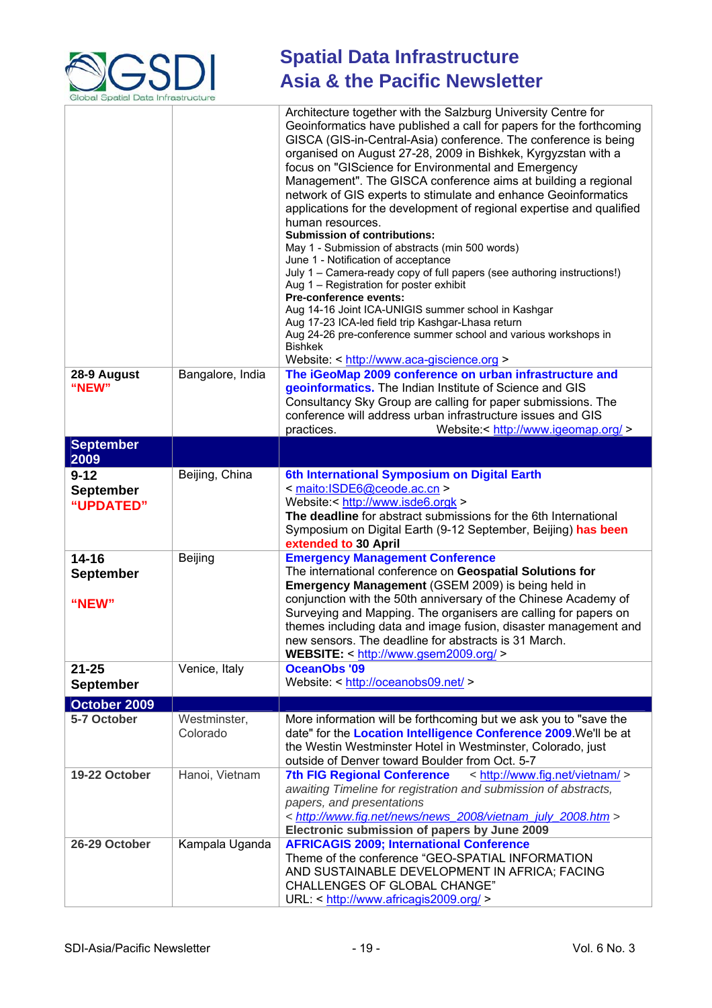

|                                           |                          | Architecture together with the Salzburg University Centre for<br>Geoinformatics have published a call for papers for the forthcoming<br>GISCA (GIS-in-Central-Asia) conference. The conference is being<br>organised on August 27-28, 2009 in Bishkek, Kyrgyzstan with a<br>focus on "GIScience for Environmental and Emergency<br>Management". The GISCA conference aims at building a regional<br>network of GIS experts to stimulate and enhance Geoinformatics<br>applications for the development of regional expertise and qualified<br>human resources.<br><b>Submission of contributions:</b><br>May 1 - Submission of abstracts (min 500 words)<br>June 1 - Notification of acceptance<br>July 1 - Camera-ready copy of full papers (see authoring instructions!)<br>Aug 1 - Registration for poster exhibit<br>Pre-conference events:<br>Aug 14-16 Joint ICA-UNIGIS summer school in Kashgar<br>Aug 17-23 ICA-led field trip Kashgar-Lhasa return<br>Aug 24-26 pre-conference summer school and various workshops in<br><b>Bishkek</b><br>Website: < http://www.aca-giscience.org > |
|-------------------------------------------|--------------------------|-----------------------------------------------------------------------------------------------------------------------------------------------------------------------------------------------------------------------------------------------------------------------------------------------------------------------------------------------------------------------------------------------------------------------------------------------------------------------------------------------------------------------------------------------------------------------------------------------------------------------------------------------------------------------------------------------------------------------------------------------------------------------------------------------------------------------------------------------------------------------------------------------------------------------------------------------------------------------------------------------------------------------------------------------------------------------------------------------|
| 28-9 August<br>"NEW"                      | Bangalore, India         | The iGeoMap 2009 conference on urban infrastructure and<br>geoinformatics. The Indian Institute of Science and GIS<br>Consultancy Sky Group are calling for paper submissions. The<br>conference will address urban infrastructure issues and GIS<br>practices.<br>Website:< http://www.igeomap.org/ >                                                                                                                                                                                                                                                                                                                                                                                                                                                                                                                                                                                                                                                                                                                                                                                        |
| <b>September</b>                          |                          |                                                                                                                                                                                                                                                                                                                                                                                                                                                                                                                                                                                                                                                                                                                                                                                                                                                                                                                                                                                                                                                                                               |
| 2009                                      |                          |                                                                                                                                                                                                                                                                                                                                                                                                                                                                                                                                                                                                                                                                                                                                                                                                                                                                                                                                                                                                                                                                                               |
| $9 - 12$<br><b>September</b><br>"UPDATED" | Beijing, China           | 6th International Symposium on Digital Earth<br>< maito:ISDE6@ceode.ac.cn ><br>Website:< http://www.isde6.orgk ><br>The deadline for abstract submissions for the 6th International<br>Symposium on Digital Earth (9-12 September, Beijing) has been<br>extended to 30 April                                                                                                                                                                                                                                                                                                                                                                                                                                                                                                                                                                                                                                                                                                                                                                                                                  |
| $14 - 16$                                 | Beijing                  | <b>Emergency Management Conference</b>                                                                                                                                                                                                                                                                                                                                                                                                                                                                                                                                                                                                                                                                                                                                                                                                                                                                                                                                                                                                                                                        |
| <b>September</b>                          |                          | The international conference on Geospatial Solutions for                                                                                                                                                                                                                                                                                                                                                                                                                                                                                                                                                                                                                                                                                                                                                                                                                                                                                                                                                                                                                                      |
| "NEW"                                     |                          | Emergency Management (GSEM 2009) is being held in<br>conjunction with the 50th anniversary of the Chinese Academy of<br>Surveying and Mapping. The organisers are calling for papers on<br>themes including data and image fusion, disaster management and<br>new sensors. The deadline for abstracts is 31 March.<br>WEBSITE: < http://www.gsem2009.org/ >                                                                                                                                                                                                                                                                                                                                                                                                                                                                                                                                                                                                                                                                                                                                   |
| $21 - 25$                                 | Venice, Italy            | <b>OceanObs '09</b>                                                                                                                                                                                                                                                                                                                                                                                                                                                                                                                                                                                                                                                                                                                                                                                                                                                                                                                                                                                                                                                                           |
| <b>September</b>                          |                          | Website: < http://oceanobs09.net/ >                                                                                                                                                                                                                                                                                                                                                                                                                                                                                                                                                                                                                                                                                                                                                                                                                                                                                                                                                                                                                                                           |
| October 2009                              |                          |                                                                                                                                                                                                                                                                                                                                                                                                                                                                                                                                                                                                                                                                                                                                                                                                                                                                                                                                                                                                                                                                                               |
| 5-7 October                               | Westminster,<br>Colorado | More information will be forthcoming but we ask you to "save the<br>date" for the Location Intelligence Conference 2009. We'll be at<br>the Westin Westminster Hotel in Westminster, Colorado, just<br>outside of Denver toward Boulder from Oct. 5-7                                                                                                                                                                                                                                                                                                                                                                                                                                                                                                                                                                                                                                                                                                                                                                                                                                         |
| 19-22 October                             | Hanoi, Vietnam           | < http://www.fig.net/vietnam/ ><br><b>7th FIG Regional Conference</b><br>awaiting Timeline for registration and submission of abstracts,<br>papers, and presentations<br>< http://www.fig.net/news/news 2008/vietnam july 2008.htm ><br>Electronic submission of papers by June 2009                                                                                                                                                                                                                                                                                                                                                                                                                                                                                                                                                                                                                                                                                                                                                                                                          |
| 26-29 October                             | Kampala Uganda           | <b>AFRICAGIS 2009; International Conference</b><br>Theme of the conference "GEO-SPATIAL INFORMATION<br>AND SUSTAINABLE DEVELOPMENT IN AFRICA; FACING<br><b>CHALLENGES OF GLOBAL CHANGE"</b><br>URL: < http://www.africagis2009.org/ >                                                                                                                                                                                                                                                                                                                                                                                                                                                                                                                                                                                                                                                                                                                                                                                                                                                         |